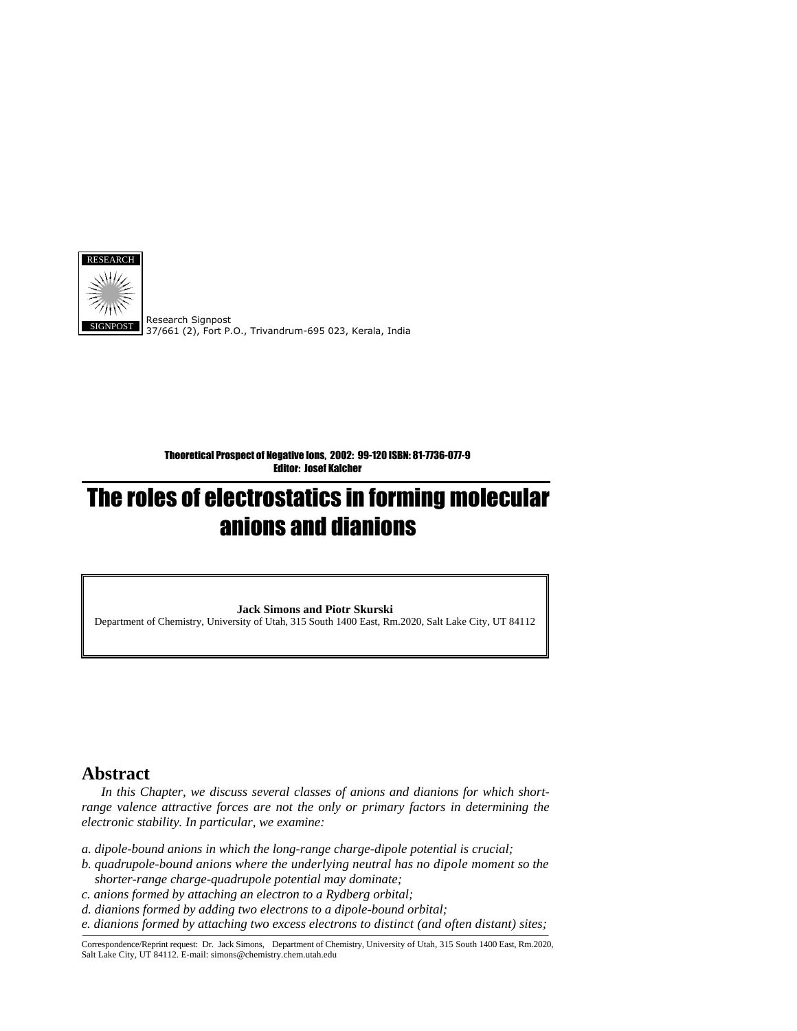

Research Signpost 37/661 (2), Fort P.O., Trivandrum-695 023, Kerala, India

Theoretical Prospect of Negative Ions, 2002: 99-120 ISBN: 81-7736-077-9 Editor: Josef Kalcher

# The roles of electrostatics in forming molecular anions and dianions

**Jack Simons and Piotr Skurski** 

Department of Chemistry, University of Utah, 315 South 1400 East, Rm.2020, Salt Lake City, UT 84112

# **Abstract**

 *In this Chapter, we discuss several classes of anions and dianions for which shortrange valence attractive forces are not the only or primary factors in determining the electronic stability. In particular, we examine:* 

- *a. dipole-bound anions in which the long-range charge-dipole potential is crucial;*
- *b. quadrupole-bound anions where the underlying neutral has no dipole moment so the shorter-range charge-quadrupole potential may dominate;*
- *c. anions formed by attaching an electron to a Rydberg orbital;*
- *d. dianions formed by adding two electrons to a dipole-bound orbital;*

*e. dianions formed by attaching two excess electrons to distinct (and often distant) sites;* 

Correspondence/Reprint request: Dr. Jack Simons, Department of Chemistry, University of Utah, 315 South 1400 East, Rm.2020, Salt Lake City, UT 84112. E-mail: simons@chemistry.chem.utah.edu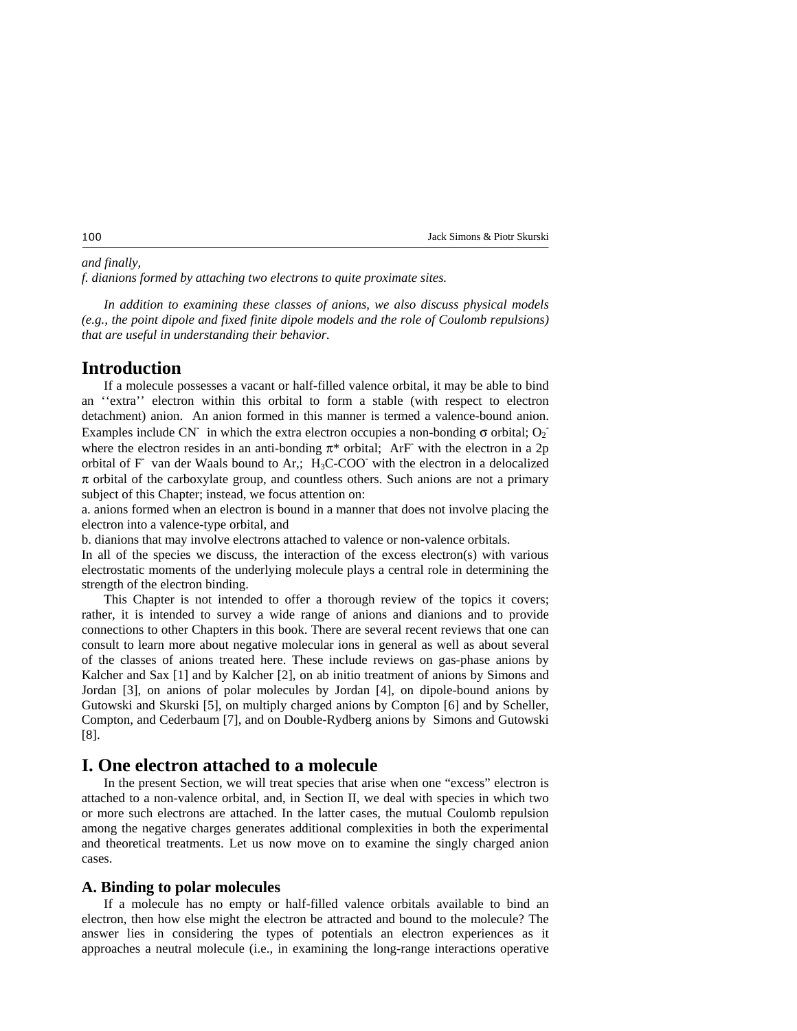### *and finally,*

*f. dianions formed by attaching two electrons to quite proximate sites.* 

 *In addition to examining these classes of anions, we also discuss physical models (e.g., the point dipole and fixed finite dipole models and the role of Coulomb repulsions) that are useful in understanding their behavior.* 

# **Introduction**

 If a molecule possesses a vacant or half-filled valence orbital, it may be able to bind an ''extra'' electron within this orbital to form a stable (with respect to electron detachment) anion. An anion formed in this manner is termed a valence-bound anion. Examples include CN<sup>-</sup> in which the extra electron occupies a non-bonding  $\sigma$  orbital; O<sub>2</sub><sup>-</sup> where the electron resides in an anti-bonding  $\pi^*$  orbital; ArF with the electron in a 2p orbital of F-van der Waals bound to Ar,;  $H_3C-COO^-$  with the electron in a delocalized  $\pi$  orbital of the carboxylate group, and countless others. Such anions are not a primary subject of this Chapter; instead, we focus attention on:

a. anions formed when an electron is bound in a manner that does not involve placing the electron into a valence-type orbital, and

b. dianions that may involve electrons attached to valence or non-valence orbitals.

In all of the species we discuss, the interaction of the excess electron(s) with various electrostatic moments of the underlying molecule plays a central role in determining the strength of the electron binding.

 This Chapter is not intended to offer a thorough review of the topics it covers; rather, it is intended to survey a wide range of anions and dianions and to provide connections to other Chapters in this book. There are several recent reviews that one can consult to learn more about negative molecular ions in general as well as about several of the classes of anions treated here. These include reviews on gas-phase anions by Kalcher and Sax [1] and by Kalcher [2], on ab initio treatment of anions by Simons and Jordan [3], on anions of polar molecules by Jordan [4], on dipole-bound anions by Gutowski and Skurski [5], on multiply charged anions by Compton [6] and by Scheller, Compton, and Cederbaum [7], and on Double-Rydberg anions by Simons and Gutowski [8].

# **I. One electron attached to a molecule**

 In the present Section, we will treat species that arise when one "excess" electron is attached to a non-valence orbital, and, in Section II, we deal with species in which two or more such electrons are attached. In the latter cases, the mutual Coulomb repulsion among the negative charges generates additional complexities in both the experimental and theoretical treatments. Let us now move on to examine the singly charged anion cases.

### **A. Binding to polar molecules**

 If a molecule has no empty or half-filled valence orbitals available to bind an electron, then how else might the electron be attracted and bound to the molecule? The answer lies in considering the types of potentials an electron experiences as it approaches a neutral molecule (i.e., in examining the long-range interactions operative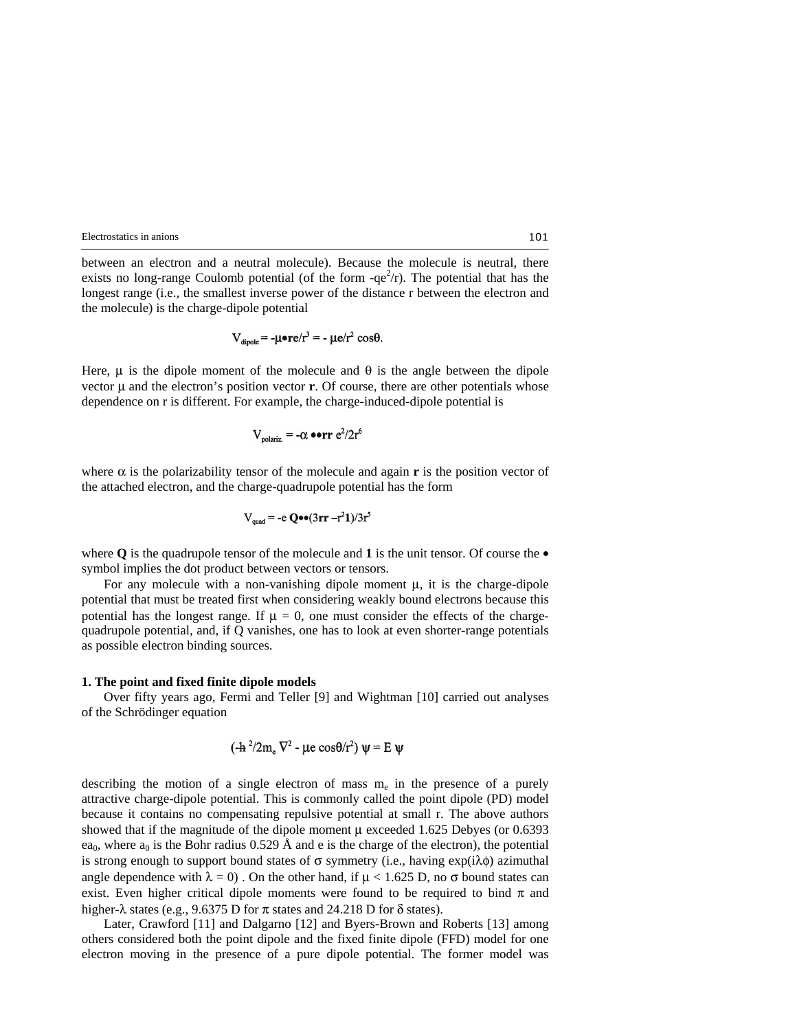between an electron and a neutral molecule). Because the molecule is neutral, there exists no long-range Coulomb potential (of the form  $-qe^2/r$ ). The potential that has the longest range (i.e., the smallest inverse power of the distance r between the electron and the molecule) is the charge-dipole potential

$$
V_{\text{dipole}} = -\mu \cdot re/r^3 = -\mu e/r^2 \cos\theta.
$$

Here,  $\mu$  is the dipole moment of the molecule and  $\theta$  is the angle between the dipole vector  $\mu$  and the electron's position vector **r**. Of course, there are other potentials whose dependence on r is different. For example, the charge-induced-dipole potential is

$$
V_{\text{molariz}} = -\alpha \bullet \text{err} e^2/2r
$$

where  $\alpha$  is the polarizability tensor of the molecule and again **r** is the position vector of the attached electron, and the charge-quadrupole potential has the form

$$
V_{quad} = -e \; \mathbf{Q} \bullet \bullet (3\mathbf{r} \mathbf{r} - r^2 \mathbf{1})/3r^5
$$

where  $\bf{O}$  is the quadrupole tensor of the molecule and **1** is the unit tensor. Of course the  $\bullet$ symbol implies the dot product between vectors or tensors.

For any molecule with a non-vanishing dipole moment  $\mu$ , it is the charge-dipole potential that must be treated first when considering weakly bound electrons because this potential has the longest range. If  $\mu = 0$ , one must consider the effects of the chargequadrupole potential, and, if Q vanishes, one has to look at even shorter-range potentials as possible electron binding sources.

#### **1. The point and fixed finite dipole models**

 Over fifty years ago, Fermi and Teller [9] and Wightman [10] carried out analyses of the Schrödinger equation

$$
(-h^2/2m_e \nabla^2 - \mu e \cos\theta/r^2) \psi = E \psi
$$

describing the motion of a single electron of mass  $m<sub>e</sub>$  in the presence of a purely attractive charge-dipole potential. This is commonly called the point dipole (PD) model because it contains no compensating repulsive potential at small r. The above authors showed that if the magnitude of the dipole moment  $\mu$  exceeded 1.625 Debyes (or 0.6393 ea<sub>0</sub>, where a<sub>0</sub> is the Bohr radius 0.529 Å and e is the charge of the electron), the potential is strong enough to support bound states of  $\sigma$  symmetry (i.e., having exp(i $\lambda \phi$ ) azimuthal angle dependence with  $\lambda = 0$ . On the other hand, if  $\mu < 1.625$  D, no  $\sigma$  bound states can exist. Even higher critical dipole moments were found to be required to bind  $\pi$  and higher- $\lambda$  states (e.g., 9.6375 D for  $\pi$  states and 24.218 D for  $\delta$  states).

 Later, Crawford [11] and Dalgarno [12] and Byers-Brown and Roberts [13] among others considered both the point dipole and the fixed finite dipole (FFD) model for one electron moving in the presence of a pure dipole potential. The former model was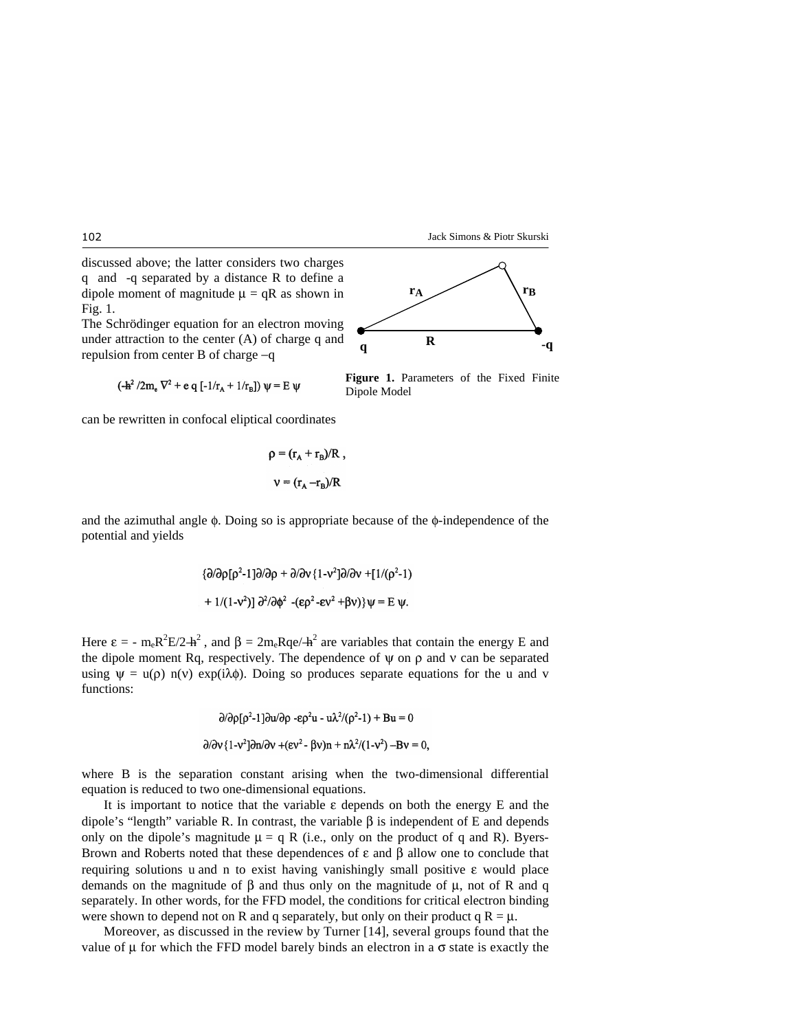discussed above; the latter considers two charges q and -q separated by a distance R to define a dipole moment of magnitude  $\mu = qR$  as shown in Fig. 1.

The Schrödinger equation for an electron moving under attraction to the center (A) of charge q and repulsion from center B of charge −q

$$
(\mathbf{-h}^2/2m_e \nabla^2 + e q [-1/r_A + 1/r_B]) \psi = E \psi
$$

can be rewritten in confocal eliptical coordinates

$$
\rho = (r_{A} + r_{B})/R ,
$$

$$
v = (r_{A} - r_{B})/R
$$

and the azimuthal angle  $\phi$ . Doing so is appropriate because of the  $\phi$ -independence of the potential and yields

$$
{\partial/\partial \rho[\rho^2-1]\partial/\partial \rho + \partial/\partial v} \{1-v^2\} \partial/\partial v + [1/(\rho^2-1) + 1/(1-v^2)] \partial^2/\partial \phi^2 - (\epsilon \rho^2 - \epsilon v^2 + \beta v) \} \psi = E \psi.
$$

Here  $\varepsilon = -m_e R^2 E/2 + h^2$ , and  $\beta = 2m_e R q e/4h^2$  are variables that contain the energy E and the dipole moment Rq, respectively. The dependence of  $\psi$  on  $\rho$  and  $\nu$  can be separated using  $\psi = u(\rho) n(v) \exp(i\lambda \phi)$ . Doing so produces separate equations for the u and v functions:

$$
\frac{\partial}{\partial p}[\rho^2-1]\frac{\partial u}{\partial p} - \varepsilon \rho^2 u - u\lambda^2/(\rho^2-1) + Bu = 0
$$
  

$$
\frac{\partial}{\partial v} \{1-v^2\}\frac{\partial u}{\partial v} + (\varepsilon v^2 - \beta v)n + n\lambda^2/(1-v^2) - Bv = 0,
$$

where B is the separation constant arising when the two-dimensional differential equation is reduced to two one-dimensional equations.

It is important to notice that the variable  $\varepsilon$  depends on both the energy E and the dipole's "length" variable R. In contrast, the variable β is independent of E and depends only on the dipole's magnitude  $\mu = q R$  (i.e., only on the product of q and R). Byers-Brown and Roberts noted that these dependences of ε and β allow one to conclude that requiring solutions u and n to exist having vanishingly small positive ε would place demands on the magnitude of  $\beta$  and thus only on the magnitude of  $\mu$ , not of R and q separately. In other words, for the FFD model, the conditions for critical electron binding were shown to depend not on R and q separately, but only on their product q  $R = \mu$ .

 Moreover, as discussed in the review by Turner [14], several groups found that the value of  $\mu$  for which the FFD model barely binds an electron in a  $\sigma$  state is exactly the



**Figure 1.** Parameters of the Fixed Finite

Dipole Model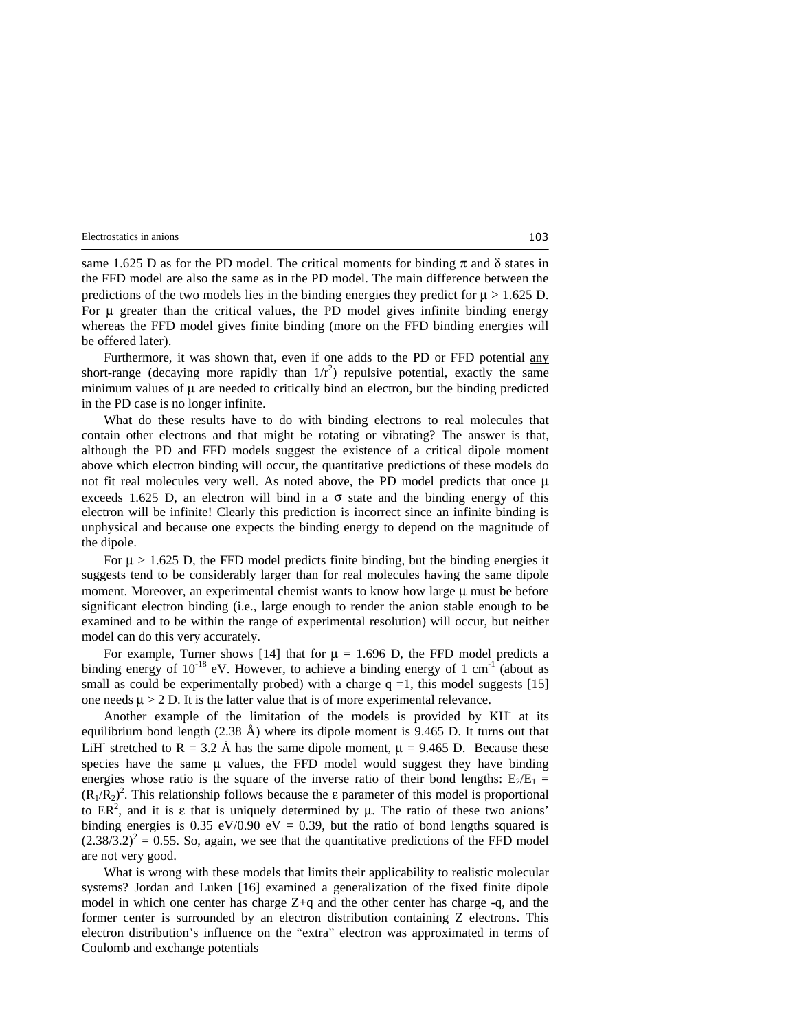same 1.625 D as for the PD model. The critical moments for binding  $\pi$  and  $\delta$  states in the FFD model are also the same as in the PD model. The main difference between the predictions of the two models lies in the binding energies they predict for  $\mu > 1.625$  D. For  $\mu$  greater than the critical values, the PD model gives infinite binding energy whereas the FFD model gives finite binding (more on the FFD binding energies will be offered later).

Furthermore, it was shown that, even if one adds to the PD or FFD potential any short-range (decaying more rapidly than  $1/r^2$ ) repulsive potential, exactly the same minimum values of  $\mu$  are needed to critically bind an electron, but the binding predicted in the PD case is no longer infinite.

 What do these results have to do with binding electrons to real molecules that contain other electrons and that might be rotating or vibrating? The answer is that, although the PD and FFD models suggest the existence of a critical dipole moment above which electron binding will occur, the quantitative predictions of these models do not fit real molecules very well. As noted above, the PD model predicts that once  $\mu$ exceeds 1.625 D, an electron will bind in a  $\sigma$  state and the binding energy of this electron will be infinite! Clearly this prediction is incorrect since an infinite binding is unphysical and because one expects the binding energy to depend on the magnitude of the dipole.

For  $\mu > 1.625$  D, the FFD model predicts finite binding, but the binding energies it suggests tend to be considerably larger than for real molecules having the same dipole moment. Moreover, an experimental chemist wants to know how large  $\mu$  must be before significant electron binding (i.e., large enough to render the anion stable enough to be examined and to be within the range of experimental resolution) will occur, but neither model can do this very accurately.

For example, Turner shows [14] that for  $\mu = 1.696$  D, the FFD model predicts a binding energy of  $10^{-18}$  eV. However, to achieve a binding energy of 1 cm<sup>-1</sup> (about as small as could be experimentally probed) with a charge  $q = 1$ , this model suggests [15] one needs  $\mu > 2$  D. It is the latter value that is of more experimental relevance.

 Another example of the limitation of the models is provided by KH- at its equilibrium bond length  $(2.38 \text{ Å})$  where its dipole moment is 9.465 D. It turns out that LiH<sup>-</sup> stretched to R = 3.2 Å has the same dipole moment,  $\mu$  = 9.465 D. Because these species have the same  $\mu$  values, the FFD model would suggest they have binding energies whose ratio is the square of the inverse ratio of their bond lengths:  $E_2/E_1 =$  $(R_1/R_2)^2$ . This relationship follows because the  $\varepsilon$  parameter of this model is proportional to ER<sup>2</sup>, and it is  $\varepsilon$  that is uniquely determined by  $\mu$ . The ratio of these two anions' binding energies is 0.35 eV/0.90 eV = 0.39, but the ratio of bond lengths squared is  $(2.38/3.2)^2 = 0.55$ . So, again, we see that the quantitative predictions of the FFD model are not very good.

 What is wrong with these models that limits their applicability to realistic molecular systems? Jordan and Luken [16] examined a generalization of the fixed finite dipole model in which one center has charge Z+q and the other center has charge -q, and the former center is surrounded by an electron distribution containing Z electrons. This electron distribution's influence on the "extra" electron was approximated in terms of Coulomb and exchange potentials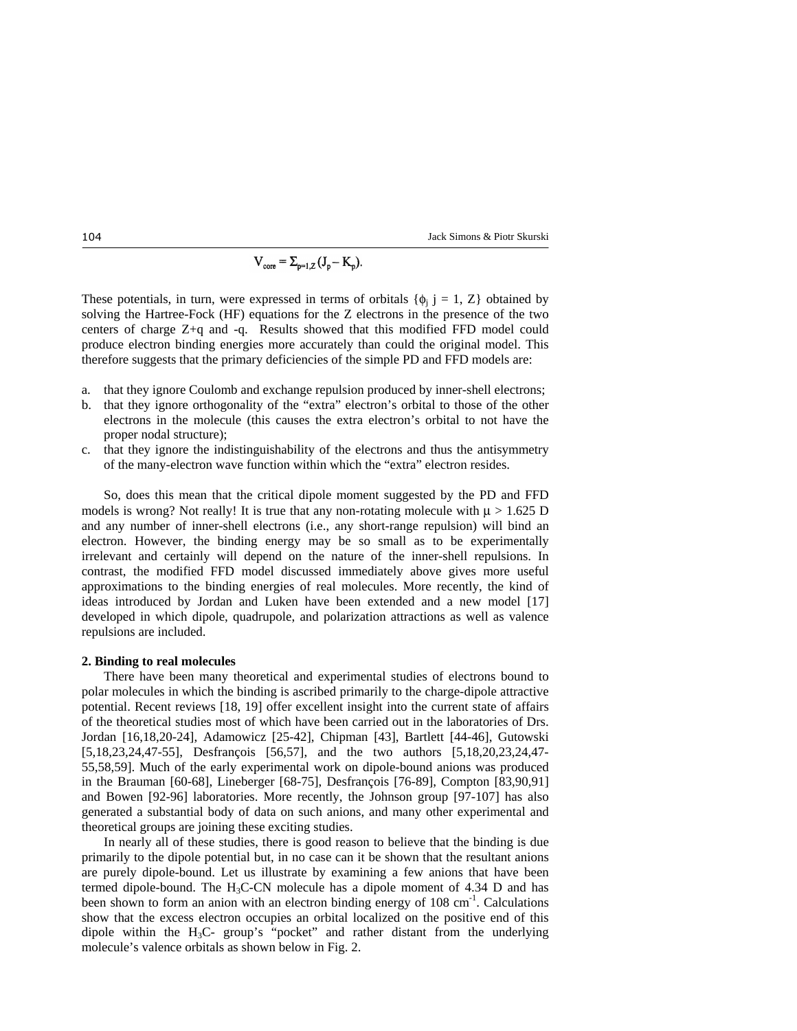$$
V_{\text{core}} = \Sigma_{p=1,Z} (J_p - K_p).
$$

These potentials, in turn, were expressed in terms of orbitals  $\{\phi_i \, j = 1, Z\}$  obtained by solving the Hartree-Fock (HF) equations for the Z electrons in the presence of the two centers of charge Z+q and -q. Results showed that this modified FFD model could produce electron binding energies more accurately than could the original model. This therefore suggests that the primary deficiencies of the simple PD and FFD models are:

- a. that they ignore Coulomb and exchange repulsion produced by inner-shell electrons;
- b. that they ignore orthogonality of the "extra" electron's orbital to those of the other electrons in the molecule (this causes the extra electron's orbital to not have the proper nodal structure);
- c. that they ignore the indistinguishability of the electrons and thus the antisymmetry of the many-electron wave function within which the "extra" electron resides.

 So, does this mean that the critical dipole moment suggested by the PD and FFD models is wrong? Not really! It is true that any non-rotating molecule with  $\mu > 1.625$  D and any number of inner-shell electrons (i.e., any short-range repulsion) will bind an electron. However, the binding energy may be so small as to be experimentally irrelevant and certainly will depend on the nature of the inner-shell repulsions. In contrast, the modified FFD model discussed immediately above gives more useful approximations to the binding energies of real molecules. More recently, the kind of ideas introduced by Jordan and Luken have been extended and a new model [17] developed in which dipole, quadrupole, and polarization attractions as well as valence repulsions are included.

#### **2. Binding to real molecules**

 There have been many theoretical and experimental studies of electrons bound to polar molecules in which the binding is ascribed primarily to the charge-dipole attractive potential. Recent reviews [18, 19] offer excellent insight into the current state of affairs of the theoretical studies most of which have been carried out in the laboratories of Drs. Jordan [16,18,20-24], Adamowicz [25-42], Chipman [43], Bartlett [44-46], Gutowski [5,18,23,24,47-55], Desfrançois [56,57], and the two authors [5,18,20,23,24,47- 55,58,59]. Much of the early experimental work on dipole-bound anions was produced in the Brauman [60-68], Lineberger [68-75], Desfrançois [76-89], Compton [83,90,91] and Bowen [92-96] laboratories. More recently, the Johnson group [97-107] has also generated a substantial body of data on such anions, and many other experimental and theoretical groups are joining these exciting studies.

 In nearly all of these studies, there is good reason to believe that the binding is due primarily to the dipole potential but, in no case can it be shown that the resultant anions are purely dipole-bound. Let us illustrate by examining a few anions that have been termed dipole-bound. The H3C-CN molecule has a dipole moment of 4.34 D and has been shown to form an anion with an electron binding energy of 108 cm<sup>-1</sup>. Calculations show that the excess electron occupies an orbital localized on the positive end of this dipole within the  $H_3C$ - group's "pocket" and rather distant from the underlying molecule's valence orbitals as shown below in Fig. 2.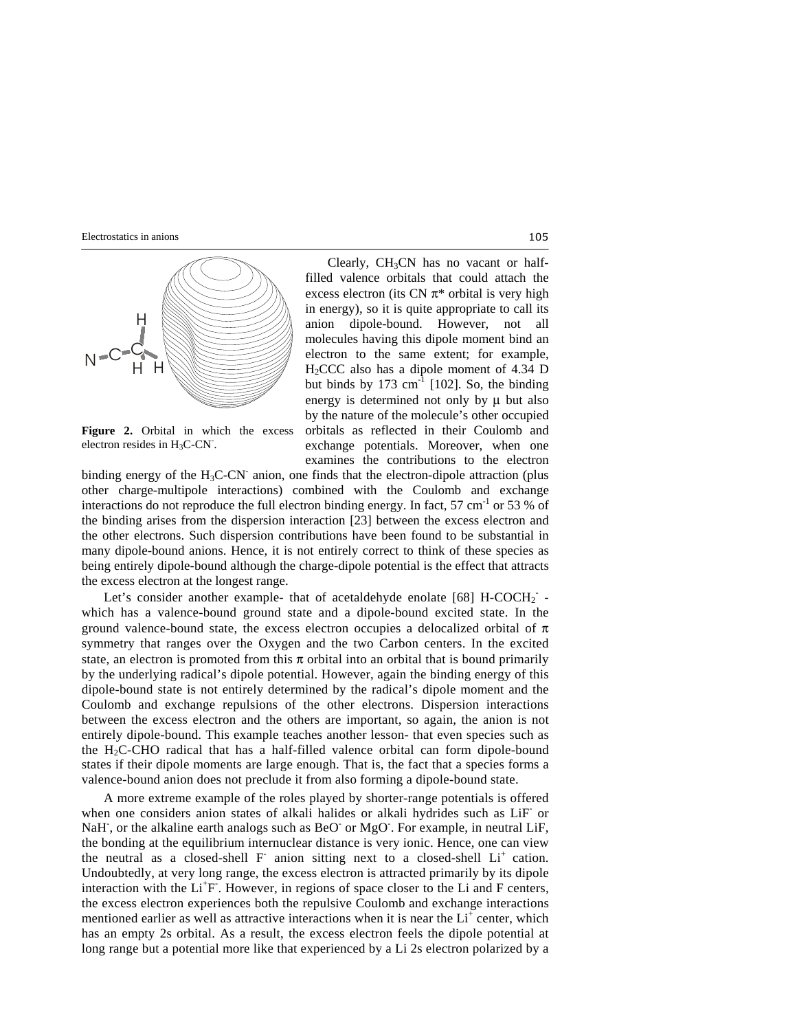

Figure 2. Orbital in which the excess electron resides in  $H_3C-CN$ .

Clearly,  $CH<sub>3</sub>CN$  has no vacant or halffilled valence orbitals that could attach the excess electron (its CN  $\pi^*$  orbital is very high in energy), so it is quite appropriate to call its anion dipole-bound. However, not all molecules having this dipole moment bind an electron to the same extent; for example, H2CCC also has a dipole moment of 4.34 D but binds by 173  $\text{cm}^{-1}$  [102]. So, the binding energy is determined not only by  $\mu$  but also by the nature of the molecule's other occupied orbitals as reflected in their Coulomb and exchange potentials. Moreover, when one examines the contributions to the electron

binding energy of the H<sub>3</sub>C-CN<sup>-</sup> anion, one finds that the electron-dipole attraction (plus other charge-multipole interactions) combined with the Coulomb and exchange interactions do not reproduce the full electron binding energy. In fact, 57 cm<sup>-1</sup> or 53 % of the binding arises from the dispersion interaction [23] between the excess electron and the other electrons. Such dispersion contributions have been found to be substantial in many dipole-bound anions. Hence, it is not entirely correct to think of these species as being entirely dipole-bound although the charge-dipole potential is the effect that attracts the excess electron at the longest range.

Let's consider another example- that of acetaldehyde enolate [68]  $H-COCH_2$  which has a valence-bound ground state and a dipole-bound excited state. In the ground valence-bound state, the excess electron occupies a delocalized orbital of  $\pi$ symmetry that ranges over the Oxygen and the two Carbon centers. In the excited state, an electron is promoted from this  $\pi$  orbital into an orbital that is bound primarily by the underlying radical's dipole potential. However, again the binding energy of this dipole-bound state is not entirely determined by the radical's dipole moment and the Coulomb and exchange repulsions of the other electrons. Dispersion interactions between the excess electron and the others are important, so again, the anion is not entirely dipole-bound. This example teaches another lesson- that even species such as the H2C-CHO radical that has a half-filled valence orbital can form dipole-bound states if their dipole moments are large enough. That is, the fact that a species forms a valence-bound anion does not preclude it from also forming a dipole-bound state.

 A more extreme example of the roles played by shorter-range potentials is offered when one considers anion states of alkali halides or alkali hydrides such as LiF- or NaH, or the alkaline earth analogs such as BeO or MgO. For example, in neutral LiF, the bonding at the equilibrium internuclear distance is very ionic. Hence, one can view the neutral as a closed-shell  $F$  anion sitting next to a closed-shell  $Li<sup>+</sup>$  cation. Undoubtedly, at very long range, the excess electron is attracted primarily by its dipole interaction with the Li<sup>+</sup>F. However, in regions of space closer to the Li and F centers, the excess electron experiences both the repulsive Coulomb and exchange interactions mentioned earlier as well as attractive interactions when it is near the  $Li<sup>+</sup>$  center, which has an empty 2s orbital. As a result, the excess electron feels the dipole potential at long range but a potential more like that experienced by a Li 2s electron polarized by a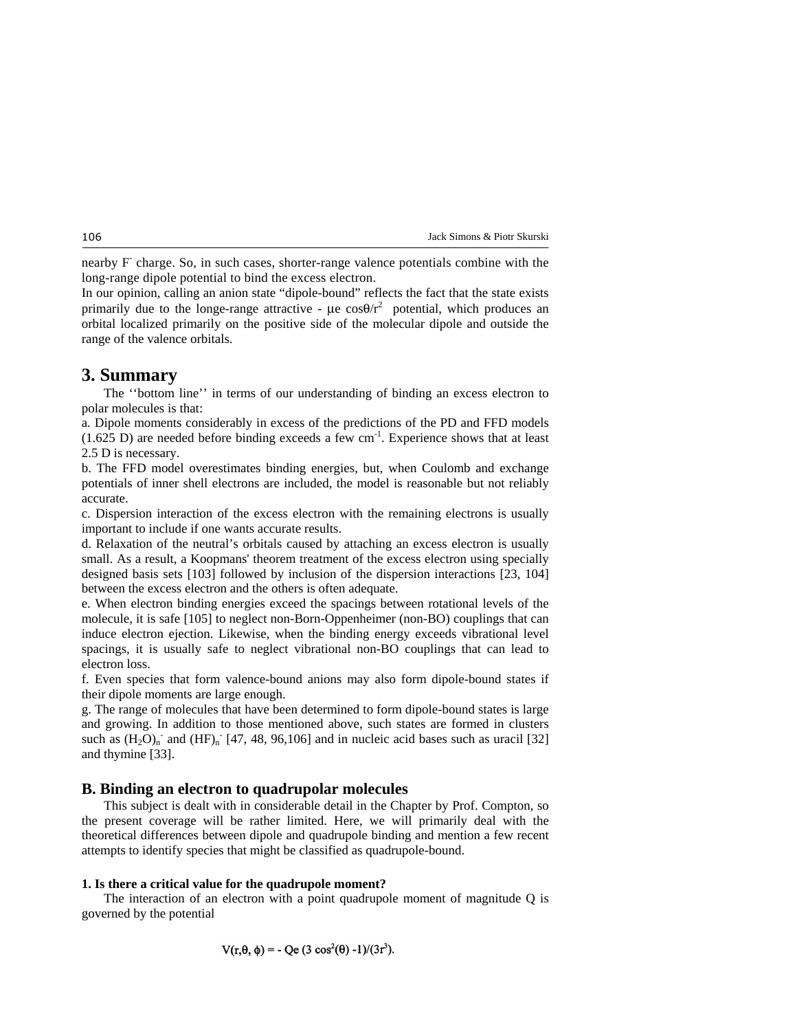nearby F charge. So, in such cases, shorter-range valence potentials combine with the long-range dipole potential to bind the excess electron.

In our opinion, calling an anion state "dipole-bound" reflects the fact that the state exists primarily due to the longe-range attractive -  $\mu$ e cos $\theta/r^2$  potential, which produces an orbital localized primarily on the positive side of the molecular dipole and outside the range of the valence orbitals.

# **3. Summary**

 The ''bottom line'' in terms of our understanding of binding an excess electron to polar molecules is that:

a. Dipole moments considerably in excess of the predictions of the PD and FFD models  $(1.625 \text{ D})$  are needed before binding exceeds a few cm<sup>-1</sup>. Experience shows that at least 2.5 D is necessary.

b. The FFD model overestimates binding energies, but, when Coulomb and exchange potentials of inner shell electrons are included, the model is reasonable but not reliably accurate.

c. Dispersion interaction of the excess electron with the remaining electrons is usually important to include if one wants accurate results.

d. Relaxation of the neutral's orbitals caused by attaching an excess electron is usually small. As a result, a Koopmans' theorem treatment of the excess electron using specially designed basis sets [103] followed by inclusion of the dispersion interactions [23, 104] between the excess electron and the others is often adequate.

e. When electron binding energies exceed the spacings between rotational levels of the molecule, it is safe [105] to neglect non-Born-Oppenheimer (non-BO) couplings that can induce electron ejection. Likewise, when the binding energy exceeds vibrational level spacings, it is usually safe to neglect vibrational non-BO couplings that can lead to electron loss.

f. Even species that form valence-bound anions may also form dipole-bound states if their dipole moments are large enough.

g. The range of molecules that have been determined to form dipole-bound states is large and growing. In addition to those mentioned above, such states are formed in clusters such as  $(H_2O)<sub>n</sub>$  and  $(HF)<sub>n</sub>$  [47, 48, 96,106] and in nucleic acid bases such as uracil [32] and thymine [33].

### **B. Binding an electron to quadrupolar molecules**

 This subject is dealt with in considerable detail in the Chapter by Prof. Compton, so the present coverage will be rather limited. Here, we will primarily deal with the theoretical differences between dipole and quadrupole binding and mention a few recent attempts to identify species that might be classified as quadrupole-bound.

#### **1. Is there a critical value for the quadrupole moment?**

 The interaction of an electron with a point quadrupole moment of magnitude Q is governed by the potential

$$
V(r,\theta,\phi) = -\text{Qe}(3\cos^2(\theta) - 1)/(3r^3).
$$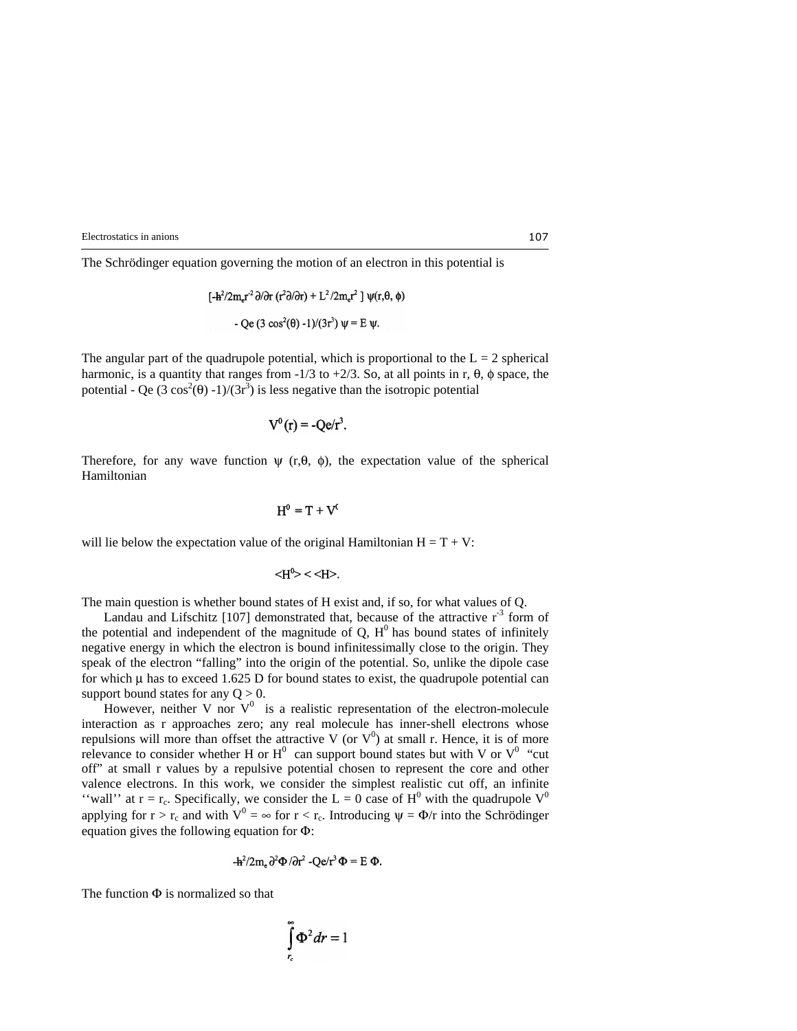The Schrödinger equation governing the motion of an electron in this potential is

$$
[-h^2/2m_e r^2 \partial/\partial r (r^2 \partial/\partial r) + L^2/2m_e r^2] \psi(r, \theta, \phi)
$$

$$
- Qe (3 \cos^2(\theta) - 1)/(3r^2) \psi = E \psi.
$$

The angular part of the quadrupole potential, which is proportional to the  $L = 2$  spherical harmonic, is a quantity that ranges from  $-1/3$  to  $+2/3$ . So, at all points in r,  $\theta$ ,  $\phi$  space, the potential - Qe  $(3 \cos^2(\theta) - 1)/(3r^3)$  is less negative than the isotropic potential

$$
V^0(r) = -Qe/r^3.
$$

Therefore, for any wave function  $\psi$  (r, $\theta$ ,  $\phi$ ), the expectation value of the spherical Hamiltonian

$$
H^0=T+V^0
$$

will lie below the expectation value of the original Hamiltonian  $H = T + V$ :

$$
\langle H^0 \rangle < \langle H \rangle.
$$

The main question is whether bound states of H exist and, if so, for what values of Q.

Landau and Lifschitz [107] demonstrated that, because of the attractive  $r<sup>-3</sup>$  form of the potential and independent of the magnitude of  $Q$ ,  $H^0$  has bound states of infinitely negative energy in which the electron is bound infinitessimally close to the origin. They speak of the electron "falling" into the origin of the potential. So, unlike the dipole case for which  $\mu$  has to exceed 1.625 D for bound states to exist, the quadrupole potential can support bound states for any  $Q > 0$ .

However, neither V nor  $V^0$  is a realistic representation of the electron-molecule interaction as r approaches zero; any real molecule has inner-shell electrons whose repulsions will more than offset the attractive V (or  $V^0$ ) at small r. Hence, it is of more relevance to consider whether H or  $H^0$  can support bound states but with V or  $V^0$  "cut off" at small r values by a repulsive potential chosen to represent the core and other valence electrons. In this work, we consider the simplest realistic cut off, an infinite "wall" at  $r = r_c$ . Specifically, we consider the L = 0 case of H<sup>0</sup> with the quadrupole V<sup>0</sup> applying for  $r > r_c$  and with  $V^0 = \infty$  for  $r < r_c$ . Introducing  $\psi = \Phi/r$  into the Schrödinger equation gives the following equation for Φ:

$$
-\mathbf{h}^2/2m_e \partial^2 \Phi / \partial r^2 - \mathbf{Q} e/r^3 \Phi = E \Phi.
$$

The function  $\Phi$  is normalized so that

$$
\int\limits_{r_c}^{\infty}\Phi^2 dr=1
$$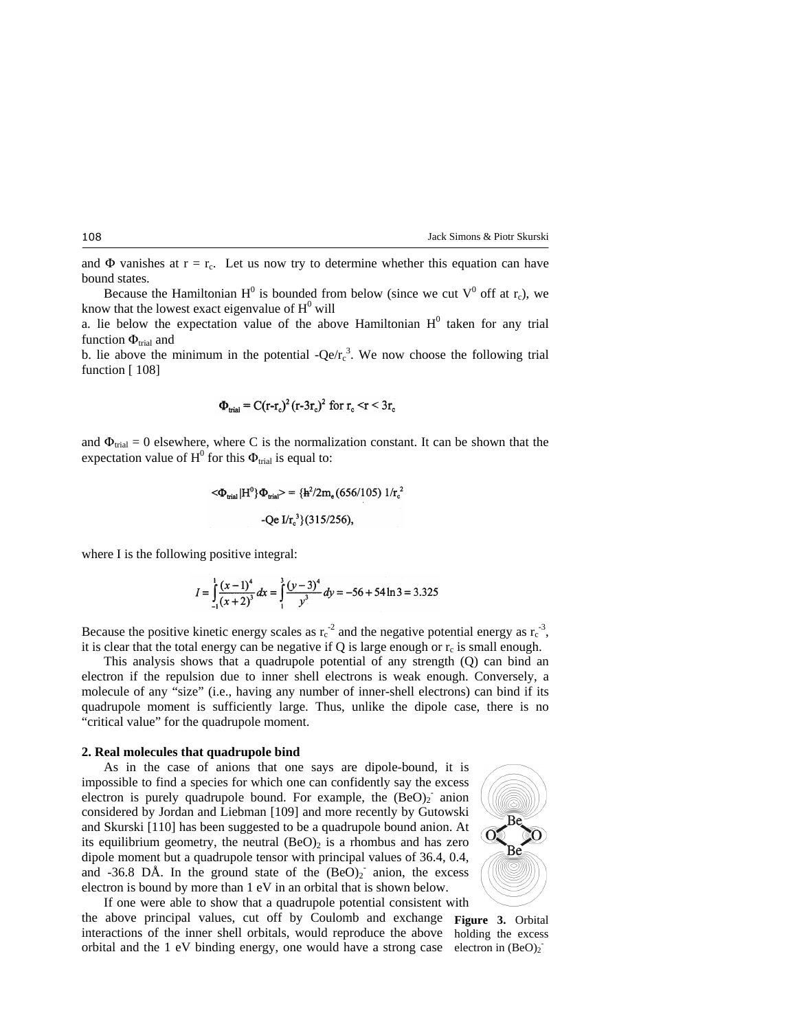and  $\Phi$  vanishes at  $r = r_c$ . Let us now try to determine whether this equation can have bound states.

Because the Hamiltonian  $H^0$  is bounded from below (since we cut  $V^0$  off at  $r_c$ ), we know that the lowest exact eigenvalue of  $H^0$  will

a. lie below the expectation value of the above Hamiltonian  $H^0$  taken for any trial function  $\Phi_{trial}$  and

b. lie above the minimum in the potential  $-Qe/r_c^3$ . We now choose the following trial function [108]

$$
\Phi_{\text{trial}} = \mathbf{C}(\mathbf{r} - \mathbf{r}_{\text{c}})^2 (\mathbf{r} - 3\mathbf{r}_{\text{c}})^2 \text{ for } \mathbf{r}_{\text{c}} < \mathbf{r} < 3\mathbf{r}_{\text{c}}
$$

and  $\Phi_{\text{trial}} = 0$  elsewhere, where C is the normalization constant. It can be shown that the expectation value of  $H^0$  for this  $\Phi_{trial}$  is equal to:

$$
\langle \Phi_{\text{trial}} | H^0 \rangle \Phi_{\text{trial}} \rangle = \{ h^2 / 2m_e (656/105) 1/r_c^2 \}
$$
  
-Qe I/r\_c<sup>3</sup> (315/256),

where I is the following positive integral:

$$
I = \int_{-1}^{1} \frac{(x-1)^4}{(x+2)^3} dx = \int_{1}^{3} \frac{(y-3)^4}{y^3} dy = -56 + 54 \ln 3 = 3.325
$$

Because the positive kinetic energy scales as  $r_c^{-2}$  and the negative potential energy as  $r_c^{-3}$ , it is clear that the total energy can be negative if Q is large enough or  $r_c$  is small enough.

 This analysis shows that a quadrupole potential of any strength (Q) can bind an electron if the repulsion due to inner shell electrons is weak enough. Conversely, a molecule of any "size" (i.e., having any number of inner-shell electrons) can bind if its quadrupole moment is sufficiently large. Thus, unlike the dipole case, there is no "critical value" for the quadrupole moment.

#### **2. Real molecules that quadrupole bind**

 As in the case of anions that one says are dipole-bound, it is impossible to find a species for which one can confidently say the excess electron is purely quadrupole bound. For example, the  $(BeO)_2$  anion considered by Jordan and Liebman [109] and more recently by Gutowski and Skurski [110] has been suggested to be a quadrupole bound anion. At its equilibrium geometry, the neutral  $(BeO)_2$  is a rhombus and has zero dipole moment but a quadrupole tensor with principal values of 36.4, 0.4, and -36.8 DÅ. In the ground state of the  $(BeO)_2$  anion, the excess electron is bound by more than 1 eV in an orbital that is shown below.



 If one were able to show that a quadrupole potential consistent with the above principal values, cut off by Coulomb and exchange **Figure 3.** Orbital interactions of the inner shell orbitals, would reproduce the above holding the excess orbital and the 1 eV binding energy, one would have a strong case electron in  $(BeO)_2$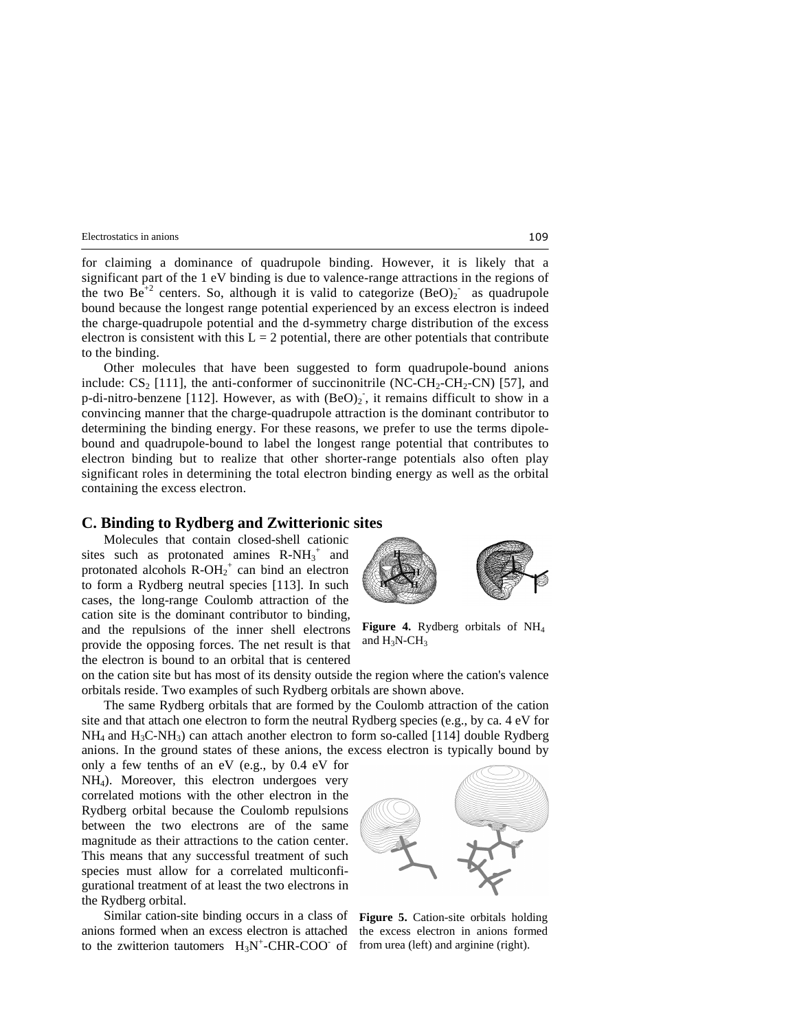for claiming a dominance of quadrupole binding. However, it is likely that a significant part of the 1 eV binding is due to valence-range attractions in the regions of the two  $Be^{+2}$  centers. So, although it is valid to categorize  $(BeO)_2$  as quadrupole bound because the longest range potential experienced by an excess electron is indeed the charge-quadrupole potential and the d-symmetry charge distribution of the excess electron is consistent with this  $L = 2$  potential, there are other potentials that contribute to the binding.

 Other molecules that have been suggested to form quadrupole-bound anions include:  $CS_2$  [111], the anti-conformer of succinonitrile (NC-CH<sub>2</sub>-CH<sub>2</sub>-CN) [57], and p-di-nitro-benzene [112]. However, as with  $(BeO)_2$ , it remains difficult to show in a convincing manner that the charge-quadrupole attraction is the dominant contributor to determining the binding energy. For these reasons, we prefer to use the terms dipolebound and quadrupole-bound to label the longest range potential that contributes to electron binding but to realize that other shorter-range potentials also often play significant roles in determining the total electron binding energy as well as the orbital containing the excess electron.

## **C. Binding to Rydberg and Zwitterionic sites**

 Molecules that contain closed-shell cationic sites such as protonated amines  $R-NH_3^+$  and protonated alcohols  $R\text{-}OH_2^+$  can bind an electron to form a Rydberg neutral species [113]. In such cases, the long-range Coulomb attraction of the cation site is the dominant contributor to binding, and the repulsions of the inner shell electrons provide the opposing forces. The net result is that the electron is bound to an orbital that is centered



**Figure 4.** Rydberg orbitals of NH4 and  $H_3N$ -C $H_3$ 

on the cation site but has most of its density outside the region where the cation's valence orbitals reside. Two examples of such Rydberg orbitals are shown above.

 The same Rydberg orbitals that are formed by the Coulomb attraction of the cation site and that attach one electron to form the neutral Rydberg species (e.g., by ca. 4 eV for  $NH<sub>4</sub>$  and  $H<sub>3</sub>C-NH<sub>3</sub>$ ) can attach another electron to form so-called [114] double Rydberg anions. In the ground states of these anions, the excess electron is typically bound by

only a few tenths of an eV (e.g., by 0.4 eV for NH4). Moreover, this electron undergoes very correlated motions with the other electron in the Rydberg orbital because the Coulomb repulsions between the two electrons are of the same magnitude as their attractions to the cation center. This means that any successful treatment of such species must allow for a correlated multiconfigurational treatment of at least the two electrons in the Rydberg orbital.

 Similar cation-site binding occurs in a class of anions formed when an excess electron is attached to the zwitterion tautomers  $H_3N^+$ -CHR-COO of from urea (left) and arginine (right).



**Figure 5.** Cation-site orbitals holding the excess electron in anions formed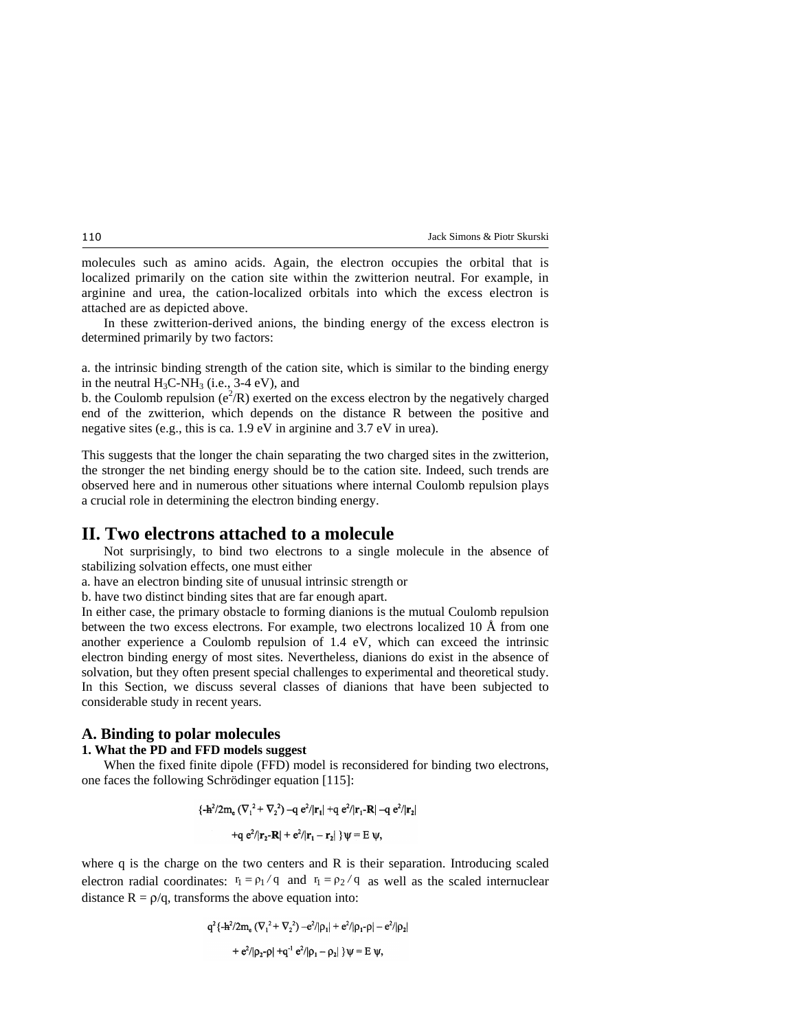molecules such as amino acids. Again, the electron occupies the orbital that is localized primarily on the cation site within the zwitterion neutral. For example, in arginine and urea, the cation-localized orbitals into which the excess electron is attached are as depicted above.

 In these zwitterion-derived anions, the binding energy of the excess electron is determined primarily by two factors:

a. the intrinsic binding strength of the cation site, which is similar to the binding energy in the neutral  $H_3C\text{-}NH_3$  (i.e., 3-4 eV), and

b. the Coulomb repulsion ( $e^2/R$ ) exerted on the excess electron by the negatively charged end of the zwitterion, which depends on the distance R between the positive and negative sites (e.g., this is ca. 1.9 eV in arginine and 3.7 eV in urea).

This suggests that the longer the chain separating the two charged sites in the zwitterion, the stronger the net binding energy should be to the cation site. Indeed, such trends are observed here and in numerous other situations where internal Coulomb repulsion plays a crucial role in determining the electron binding energy.

# **II. Two electrons attached to a molecule**

 Not surprisingly, to bind two electrons to a single molecule in the absence of stabilizing solvation effects, one must either

a. have an electron binding site of unusual intrinsic strength or

b. have two distinct binding sites that are far enough apart.

In either case, the primary obstacle to forming dianions is the mutual Coulomb repulsion between the two excess electrons. For example, two electrons localized 10 Å from one another experience a Coulomb repulsion of 1.4 eV, which can exceed the intrinsic electron binding energy of most sites. Nevertheless, dianions do exist in the absence of solvation, but they often present special challenges to experimental and theoretical study. In this Section, we discuss several classes of dianions that have been subjected to considerable study in recent years.

### **A. Binding to polar molecules**

### **1. What the PD and FFD models suggest**

 When the fixed finite dipole (FFD) model is reconsidered for binding two electrons, one faces the following Schrödinger equation [115]:

$$
{\frac{1}{2} + \frac{\lambda^2}{2m_e} (\nabla_1^2 + \nabla_2^2) - q e^2 / |\mathbf{r}_1| + q e^2 / |\mathbf{r}_1 - \mathbf{R}| - q e^2 / |\mathbf{r}_2| + q e^2 / |\mathbf{r}_2 - \mathbf{R}| + e^2 / |\mathbf{r}_1 - \mathbf{r}_2|} }
$$

where q is the charge on the two centers and R is their separation. Introducing scaled electron radial coordinates:  $r_1 = \rho_1 / q$  and  $r_1 = \rho_2 / q$  as well as the scaled internuclear distance  $R = \rho/q$ , transforms the above equation into:

$$
q^{2} \{ -\mathbf{h}^{2}/2m_{e} \left( \nabla_{1}^{2} + \nabla_{2}^{2} \right) - e^{2}/|\rho_{1}| + e^{2}/|\rho_{1} - \rho| - e^{2}/|\rho_{2}|
$$
  
+  $e^{2}/|\rho_{2} - \rho| + q^{-1} e^{2}/|\rho_{1} - \rho_{2}| \} \psi = E \psi$ ,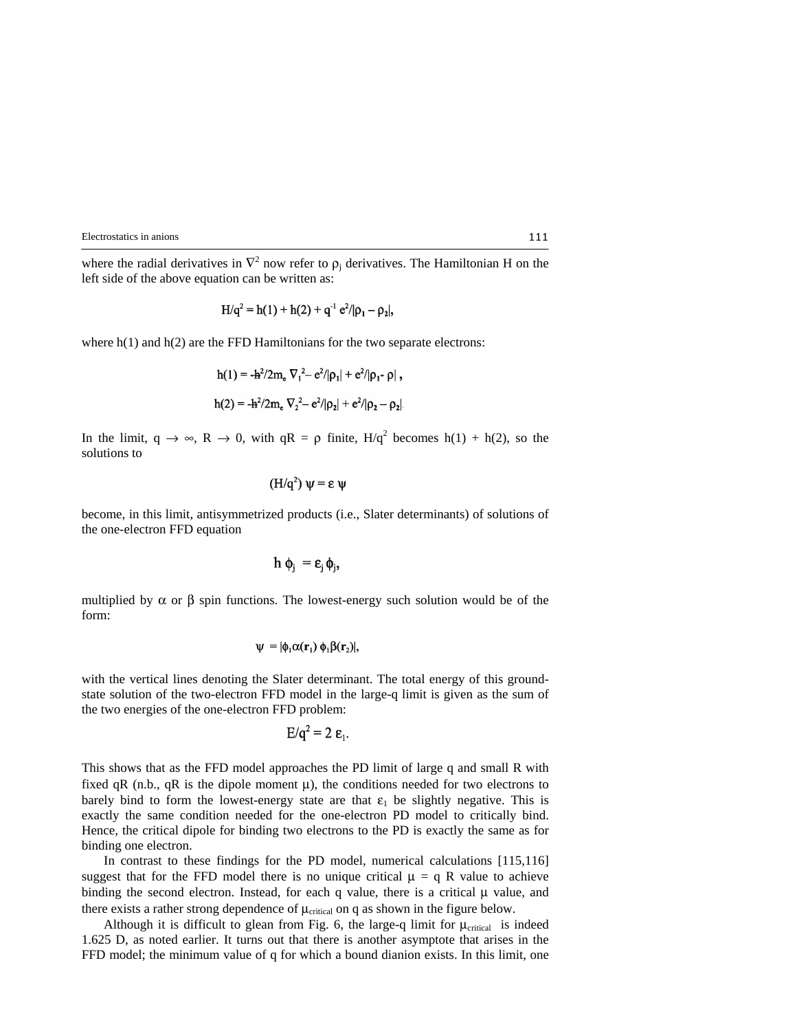where the radial derivatives in  $\nabla^2$  now refer to  $\rho_j$  derivatives. The Hamiltonian H on the left side of the above equation can be written as:

$$
H/q^{2} = h(1) + h(2) + q^{-1} e^{2}/|\rho_{1} - \rho_{2}|,
$$

where  $h(1)$  and  $h(2)$  are the FFD Hamiltonians for the two separate electrons:

$$
h(1) = -\frac{h^2}{2m_e} \nabla_1^2 - \frac{e^2}{|\rho_1|} + \frac{e^2}{|\rho_1|} \rho_1 - \rho_2,
$$
  

$$
h(2) = -\frac{h^2}{2m_e} \nabla_2^2 - \frac{e^2}{|\rho_2|} + \frac{e^2}{|\rho_2|} - \rho_2.
$$

In the limit,  $q \to \infty$ ,  $R \to 0$ , with  $qR = \rho$  finite,  $H/q^2$  becomes  $h(1) + h(2)$ , so the solutions to

$$
(\mathrm{H}/\mathrm{q}^2)\,\Psi = \varepsilon\,\Psi
$$

become, in this limit, antisymmetrized products (i.e., Slater determinants) of solutions of the one-electron FFD equation

$$
h \phi_i = \varepsilon_i \phi_i,
$$

multiplied by  $\alpha$  or  $\beta$  spin functions. The lowest-energy such solution would be of the form:

$$
\psi = |\phi_1 \alpha(\mathbf{r}_1) \phi_1 \beta(\mathbf{r}_2)|,
$$

with the vertical lines denoting the Slater determinant. The total energy of this groundstate solution of the two-electron FFD model in the large-q limit is given as the sum of the two energies of the one-electron FFD problem:

$$
E/q^2=2\epsilon_1.
$$

This shows that as the FFD model approaches the PD limit of large q and small R with fixed qR (n.b., qR is the dipole moment  $\mu$ ), the conditions needed for two electrons to barely bind to form the lowest-energy state are that  $\varepsilon_1$  be slightly negative. This is exactly the same condition needed for the one-electron PD model to critically bind. Hence, the critical dipole for binding two electrons to the PD is exactly the same as for binding one electron.

 In contrast to these findings for the PD model, numerical calculations [115,116] suggest that for the FFD model there is no unique critical  $\mu = q R$  value to achieve binding the second electron. Instead, for each q value, there is a critical  $\mu$  value, and there exists a rather strong dependence of  $\mu_{critical}$  on q as shown in the figure below.

Although it is difficult to glean from Fig. 6, the large-q limit for  $\mu_{critical}$  is indeed 1.625 D, as noted earlier. It turns out that there is another asymptote that arises in the FFD model; the minimum value of q for which a bound dianion exists. In this limit, one

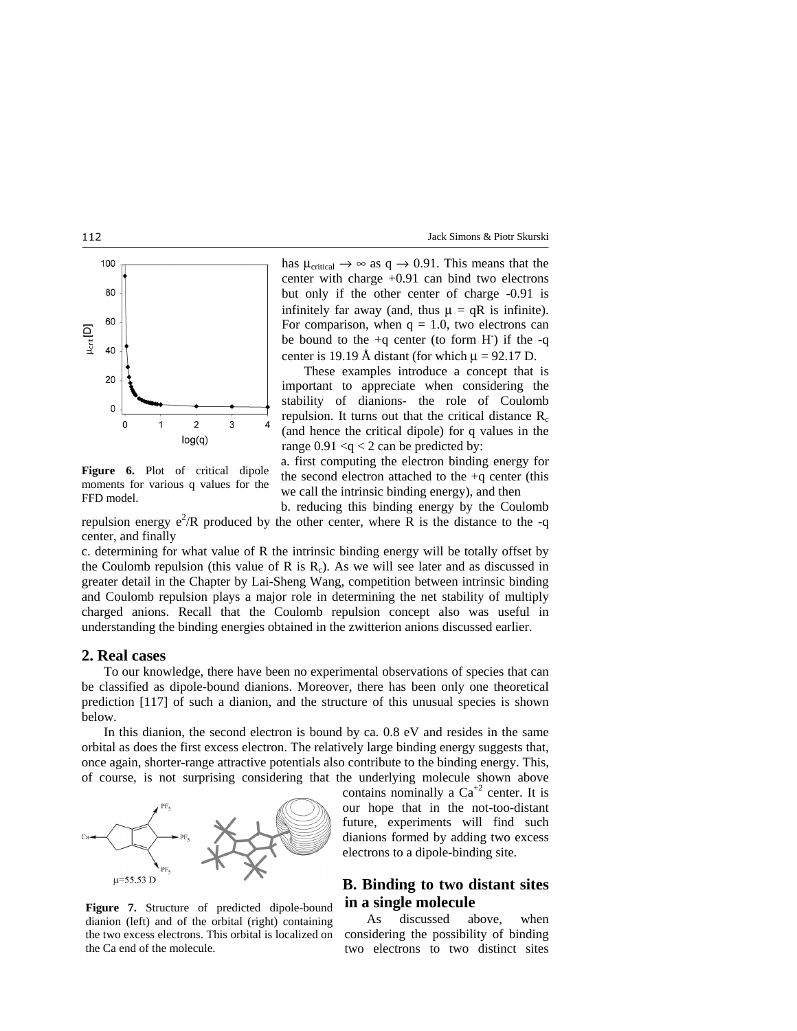

**Figure 6.** Plot of critical dipole moments for various q values for the FFD model.

has  $\mu_{critical} \rightarrow \infty$  as  $q \rightarrow 0.91$ . This means that the center with charge +0.91 can bind two electrons but only if the other center of charge -0.91 is infinitely far away (and, thus  $\mu = qR$  is infinite). For comparison, when  $q = 1.0$ , two electrons can be bound to the  $+q$  center (to form H) if the  $-q$ center is 19.19 Å distant (for which  $\mu$  = 92.17 D.

These examples introduce a concept that is important to appreciate when considering the stability of dianions- the role of Coulomb repulsion. It turns out that the critical distance  $R_c$ (and hence the critical dipole) for q values in the range  $0.91 < q < 2$  can be predicted by:

a. first computing the electron binding energy for the second electron attached to the  $+q$  center (this we call the intrinsic binding energy), and then

b. reducing this binding energy by the Coulomb repulsion energy  $e^2/R$  produced by the other center, where R is the distance to the -q center, and finally

c. determining for what value of R the intrinsic binding energy will be totally offset by the Coulomb repulsion (this value of R is  $R<sub>c</sub>$ ). As we will see later and as discussed in greater detail in the Chapter by Lai-Sheng Wang, competition between intrinsic binding and Coulomb repulsion plays a major role in determining the net stability of multiply charged anions. Recall that the Coulomb repulsion concept also was useful in understanding the binding energies obtained in the zwitterion anions discussed earlier.

#### **2. Real cases**

 To our knowledge, there have been no experimental observations of species that can be classified as dipole-bound dianions. Moreover, there has been only one theoretical prediction [117] of such a dianion, and the structure of this unusual species is shown below.

 In this dianion, the second electron is bound by ca. 0.8 eV and resides in the same orbital as does the first excess electron. The relatively large binding energy suggests that, once again, shorter-range attractive potentials also contribute to the binding energy. This, of course, is not surprising considering that the underlying molecule shown above



**Figure 7.** Structure of predicted dipole-bound dianion (left) and of the orbital (right) containing the two excess electrons. This orbital is localized on the Ca end of the molecule.

contains nominally a  $Ca^{+2}$  center. It is our hope that in the not-too-distant future, experiments will find such dianions formed by adding two excess electrons to a dipole-binding site.

# **B. Binding to two distant sites in a single molecule**

 As discussed above, when considering the possibility of binding two electrons to two distinct sites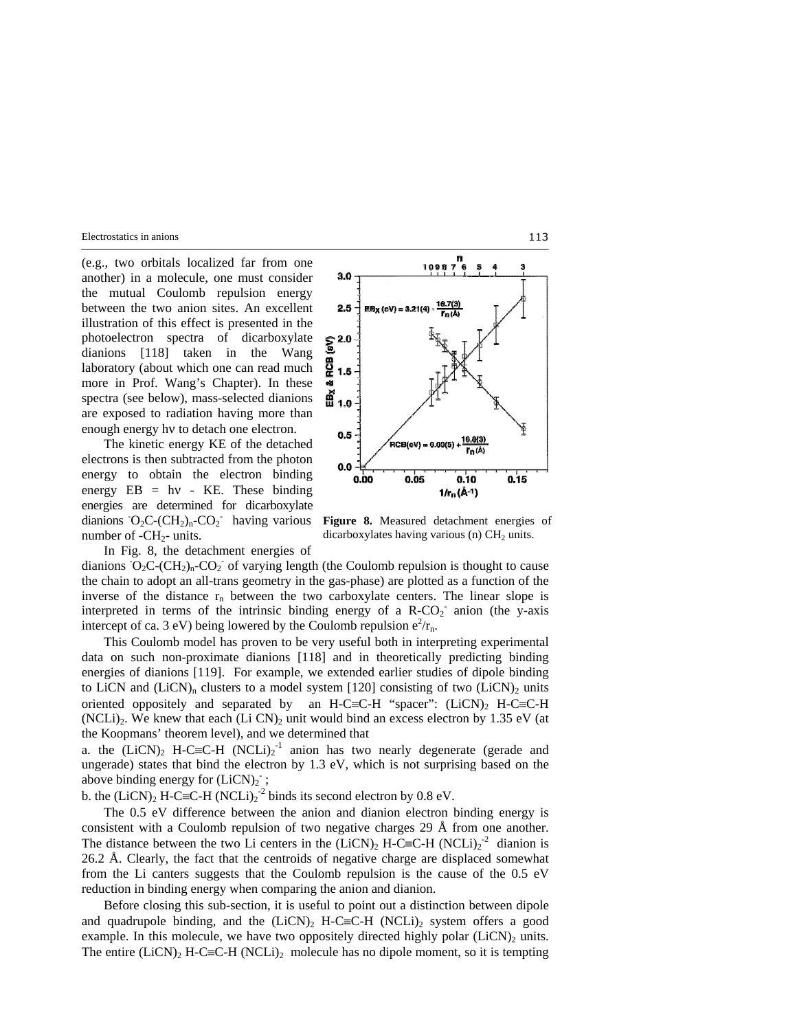(e.g., two orbitals localized far from one another) in a molecule, one must consider the mutual Coulomb repulsion energy between the two anion sites. An excellent illustration of this effect is presented in the photoelectron spectra of dicarboxylate dianions [118] taken in the Wang laboratory (about which one can read much more in Prof. Wang's Chapter). In these spectra (see below), mass-selected dianions are exposed to radiation having more than enough energy hν to detach one electron.

 The kinetic energy KE of the detached electrons is then subtracted from the photon energy to obtain the electron binding energy  $EB = hv - KE$ . These binding energies are determined for dicarboxylate dianions  $O_2C$ - $(CH_2)_n$ - $CO_2^-$  having various number of  $-CH<sub>2</sub>$ - units. In Fig. 8, the detachment energies of



**Figure 8.** Measured detachment energies of dicarboxylates having various (n)  $CH<sub>2</sub>$  units.

dianions  $O_2C$ -(CH<sub>2</sub>)<sub>n</sub>-CO<sub>2</sub> of varying length (the Coulomb repulsion is thought to cause the chain to adopt an all-trans geometry in the gas-phase) are plotted as a function of the inverse of the distance  $r_n$  between the two carboxylate centers. The linear slope is interpreted in terms of the intrinsic binding energy of a  $R-CO<sub>2</sub>$  anion (the y-axis intercept of ca. 3 eV) being lowered by the Coulomb repulsion  $e^2/r_n$ .

 This Coulomb model has proven to be very useful both in interpreting experimental data on such non-proximate dianions [118] and in theoretically predicting binding energies of dianions [119]. For example, we extended earlier studies of dipole binding to LiCN and (LiCN)<sub>n</sub> clusters to a model system [120] consisting of two (LiCN)<sub>2</sub> units oriented oppositely and separated by an H-C≡C-H "spacer": (LiCN), H-C≡C-H (NCLi)<sub>2</sub>. We knew that each (Li CN)<sub>2</sub> unit would bind an excess electron by 1.35 eV (at the Koopmans' theorem level), and we determined that

a. the  $(LicN)_2$  H-C≡C-H  $(NCLi)_2^{-1}$  anion has two nearly degenerate (gerade and ungerade) states that bind the electron by 1.3 eV, which is not surprising based on the above binding energy for  $(LiCN)_2$ ;

b. the  $(LicN)_2$  H-C≡C-H  $(NCLi)_2^{-2}$  binds its second electron by 0.8 eV.

 The 0.5 eV difference between the anion and dianion electron binding energy is consistent with a Coulomb repulsion of two negative charges 29 Å from one another. The distance between the two Li centers in the  $(LicN)_2$  H-C≡C-H  $(NCLi)_2^{-2}$  dianion is 26.2 Å. Clearly, the fact that the centroids of negative charge are displaced somewhat from the Li canters suggests that the Coulomb repulsion is the cause of the 0.5 eV reduction in binding energy when comparing the anion and dianion.

 Before closing this sub-section, it is useful to point out a distinction between dipole and quadrupole binding, and the  $(LicN)_2$  H-C≡C-H (NCLi)<sub>2</sub> system offers a good example. In this molecule, we have two oppositely directed highly polar  $(LicN)_2$  units. The entire  $(LiCN)_2$  H-C≡C-H (NCLi)<sub>2</sub> molecule has no dipole moment, so it is tempting

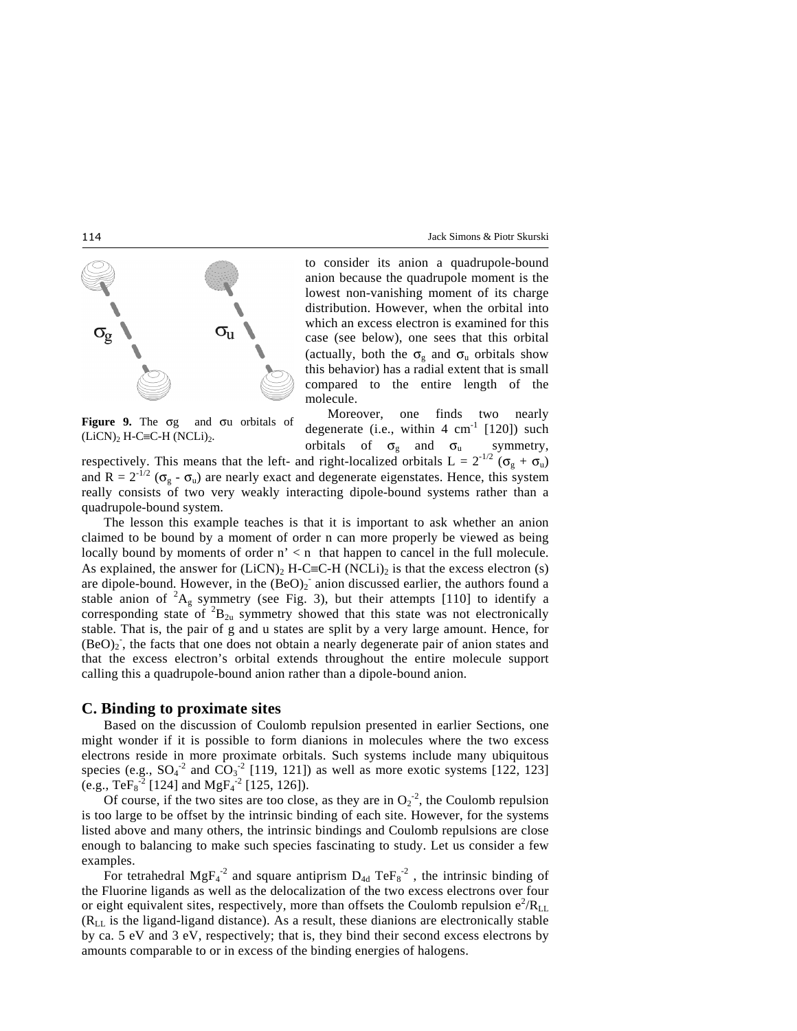

**Figure 9.** The σg and σu orbitals of  $(LiCN)_2$  H-C≡C-H  $(NCLi)_2$ .

to consider its anion a quadrupole-bound anion because the quadrupole moment is the lowest non-vanishing moment of its charge distribution. However, when the orbital into which an excess electron is examined for this case (see below), one sees that this orbital (actually, both the  $\sigma_{g}$  and  $\sigma_{u}$  orbitals show this behavior) has a radial extent that is small compared to the entire length of the molecule.

 Moreover, one finds two nearly degenerate (i.e., within  $4 \text{ cm}^{-1}$  [120]) such orbitals of  $\sigma_{g}$  and  $\sigma_{u}$  symmetry,

respectively. This means that the left- and right-localized orbitals  $L = 2^{-1/2} (\sigma_g + \sigma_u)$ and  $R = 2^{-1/2}$  ( $\sigma_g$  -  $\sigma_u$ ) are nearly exact and degenerate eigenstates. Hence, this system really consists of two very weakly interacting dipole-bound systems rather than a quadrupole-bound system.

 The lesson this example teaches is that it is important to ask whether an anion claimed to be bound by a moment of order n can more properly be viewed as being locally bound by moments of order  $n' < n$  that happen to cancel in the full molecule. As explained, the answer for  $(LicN)_2$  H-C≡C-H (NCLi)<sub>2</sub> is that the excess electron (s) are dipole-bound. However, in the  $(BeO)_2$  anion discussed earlier, the authors found a stable anion of  ${}^{2}A_{g}$  symmetry (see Fig. 3), but their attempts [110] to identify a corresponding state of  ${}^{2}B_{2u}$  symmetry showed that this state was not electronically stable. That is, the pair of g and u states are split by a very large amount. Hence, for (BeO)<sub>2</sub>, the facts that one does not obtain a nearly degenerate pair of anion states and that the excess electron's orbital extends throughout the entire molecule support calling this a quadrupole-bound anion rather than a dipole-bound anion.

### **C. Binding to proximate sites**

 Based on the discussion of Coulomb repulsion presented in earlier Sections, one might wonder if it is possible to form dianions in molecules where the two excess electrons reside in more proximate orbitals. Such systems include many ubiquitous species (e.g.,  $SO_4^{-2}$  and  $CO_3^{-2}$  [119, 121]) as well as more exotic systems [122, 123] (e.g., Te $F_8^2$  [124] and Mg $F_4^2$  [125, 126]).

Of course, if the two sites are too close, as they are in  $O_2^2$ , the Coulomb repulsion is too large to be offset by the intrinsic binding of each site. However, for the systems listed above and many others, the intrinsic bindings and Coulomb repulsions are close enough to balancing to make such species fascinating to study. Let us consider a few examples.

For tetrahedral MgF<sub>4</sub><sup>-2</sup> and square antiprism  $D_{4d}$  TeF<sub>8</sub><sup>-2</sup>, the intrinsic binding of the Fluorine ligands as well as the delocalization of the two excess electrons over four or eight equivalent sites, respectively, more than offsets the Coulomb repulsion  $e^2/R_{LL}$  $(R<sub>LL</sub>$  is the ligand-ligand distance). As a result, these dianions are electronically stable by ca. 5 eV and 3 eV, respectively; that is, they bind their second excess electrons by amounts comparable to or in excess of the binding energies of halogens.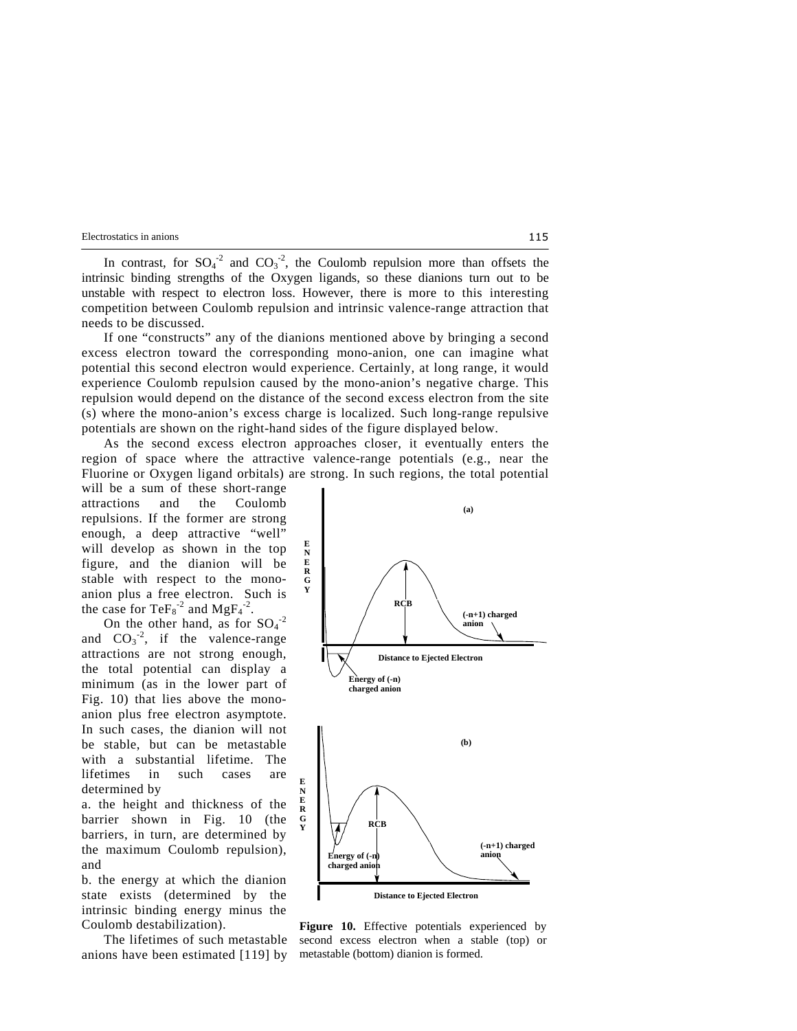In contrast, for  $SO_4^2$  and  $CO_3^2$ , the Coulomb repulsion more than offsets the intrinsic binding strengths of the Oxygen ligands, so these dianions turn out to be unstable with respect to electron loss. However, there is more to this interesting competition between Coulomb repulsion and intrinsic valence-range attraction that needs to be discussed.

 If one "constructs" any of the dianions mentioned above by bringing a second excess electron toward the corresponding mono-anion, one can imagine what potential this second electron would experience. Certainly, at long range, it would experience Coulomb repulsion caused by the mono-anion's negative charge. This repulsion would depend on the distance of the second excess electron from the site (s) where the mono-anion's excess charge is localized. Such long-range repulsive potentials are shown on the right-hand sides of the figure displayed below.

 As the second excess electron approaches closer, it eventually enters the region of space where the attractive valence-range potentials (e.g., near the Fluorine or Oxygen ligand orbitals) are strong. In such regions, the total potential

will be a sum of these short-range attractions and the Coulomb repulsions. If the former are strong enough, a deep attractive "well" will develop as shown in the top figure, and the dianion will be stable with respect to the monoanion plus a free electron. Such is the case for  $\text{TeFs}^{-2}$  and  $\text{MgFs}^{-2}$ .

On the other hand, as for  $SO_4^{-2}$ and  $CO_3^{\text{-2}}$ , if the valence-range attractions are not strong enough, the total potential can display a minimum (as in the lower part of Fig. 10) that lies above the monoanion plus free electron asymptote. In such cases, the dianion will not be stable, but can be metastable with a substantial lifetime. The lifetimes in such cases are determined by

a. the height and thickness of the barrier shown in Fig. 10 (the barriers, in turn, are determined by the maximum Coulomb repulsion), and

b. the energy at which the dianion state exists (determined by the intrinsic binding energy minus the Coulomb destabilization).

 The lifetimes of such metastable anions have been estimated [119] by



**Figure 10.** Effective potentials experienced by second excess electron when a stable (top) or metastable (bottom) dianion is formed.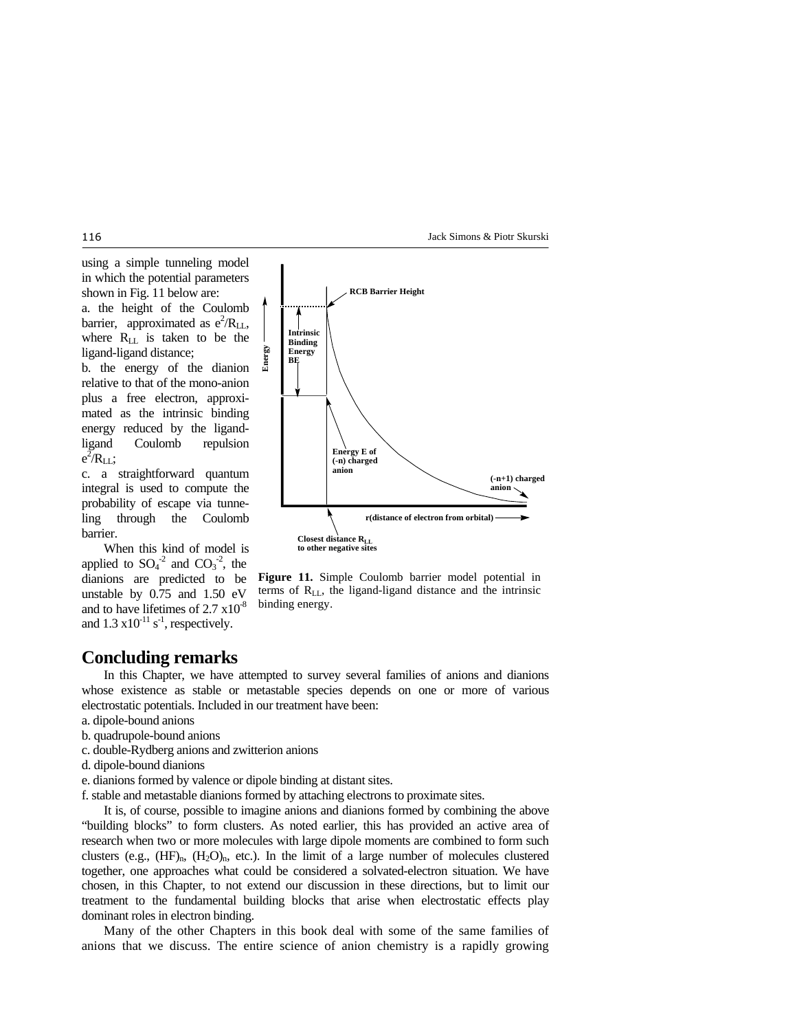Jack Simons & Piotr Skurski



plus a free electron, approximated as the intrinsic binding energy reduced by the ligandligand Coulomb repulsion  $e^{2}$ /R<sub>LL</sub>;

c. a straightforward quantum integral is used to compute the probability of escape via tunneling through the Coulomb barrier.

 When this kind of model is applied to  $SO_4^{\text{-}2}$  and  $CO_3^{\text{-}2}$ , the dianions are predicted to be unstable by 0.75 and 1.50 eV and to have lifetimes of  $2.7 \times 10^{-8}$ and  $1.3 \times 10^{-11}$  s<sup>-1</sup>, respectively.



**Figure 11.** Simple Coulomb barrier model potential in terms of  $R_{LL}$ , the ligand-ligand distance and the intrinsic binding energy.

# **Concluding remarks**

 In this Chapter, we have attempted to survey several families of anions and dianions whose existence as stable or metastable species depends on one or more of various electrostatic potentials. Included in our treatment have been:

- a. dipole-bound anions
- b. quadrupole-bound anions
- c. double-Rydberg anions and zwitterion anions
- d. dipole-bound dianions
- e. dianions formed by valence or dipole binding at distant sites.

f. stable and metastable dianions formed by attaching electrons to proximate sites.

 It is, of course, possible to imagine anions and dianions formed by combining the above "building blocks" to form clusters. As noted earlier, this has provided an active area of research when two or more molecules with large dipole moments are combined to form such clusters (e.g.,  $(HF)_{n}$ ,  $(H_2O)_{n}$ , etc.). In the limit of a large number of molecules clustered together, one approaches what could be considered a solvated-electron situation. We have chosen, in this Chapter, to not extend our discussion in these directions, but to limit our treatment to the fundamental building blocks that arise when electrostatic effects play dominant roles in electron binding.

 Many of the other Chapters in this book deal with some of the same families of anions that we discuss. The entire science of anion chemistry is a rapidly growing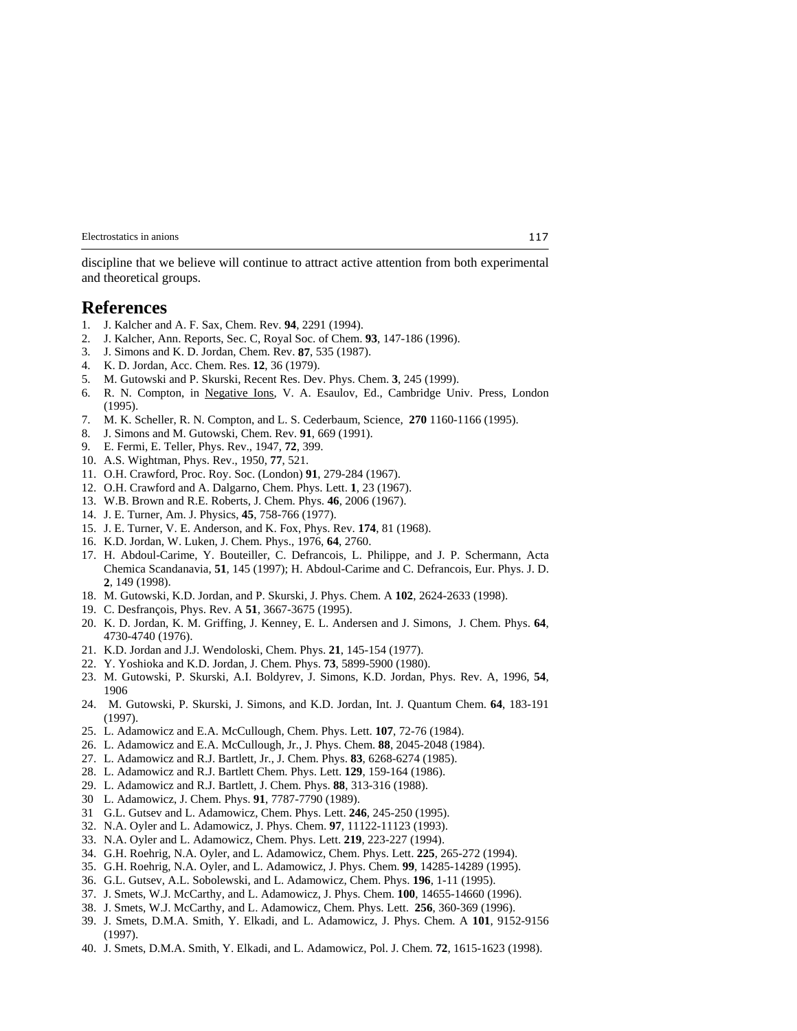discipline that we believe will continue to attract active attention from both experimental and theoretical groups.

### **References**

- 1. J. Kalcher and A. F. Sax, Chem. Rev. **94**, 2291 (1994).
- 2. J. Kalcher, Ann. Reports, Sec. C, Royal Soc. of Chem. **93**, 147-186 (1996).
- 3. J. Simons and K. D. Jordan, Chem. Rev. **87**, 535 (1987).
- 4. K. D. Jordan, Acc. Chem. Res. **12**, 36 (1979).
- 5. M. Gutowski and P. Skurski, Recent Res. Dev. Phys. Chem. **3**, 245 (1999).
- 6. R. N. Compton, in Negative Ions, V. A. Esaulov, Ed., Cambridge Univ. Press, London (1995).
- 7. M. K. Scheller, R. N. Compton, and L. S. Cederbaum, Science, **270** 1160-1166 (1995).
- 8. J. Simons and M. Gutowski, Chem. Rev. **91**, 669 (1991).
- 9. E. Fermi, E. Teller, Phys. Rev., 1947, **72**, 399.
- 10. A.S. Wightman, Phys. Rev., 1950, **77**, 521.
- 11. O.H. Crawford, Proc. Roy. Soc. (London) **91**, 279-284 (1967).
- 12. O.H. Crawford and A. Dalgarno, Chem. Phys. Lett. **1**, 23 (1967).
- 13. W.B. Brown and R.E. Roberts, J. Chem. Phys. **46**, 2006 (1967).
- 14. J. E. Turner, Am. J. Physics, **45**, 758-766 (1977).
- 15. J. E. Turner, V. E. Anderson, and K. Fox, Phys. Rev. **174**, 81 (1968).
- 16. K.D. Jordan, W. Luken, J. Chem. Phys., 1976, **64**, 2760.
- 17. H. Abdoul-Carime, Y. Bouteiller, C. Defrancois, L. Philippe, and J. P. Schermann, Acta Chemica Scandanavia, **51**, 145 (1997); H. Abdoul-Carime and C. Defrancois, Eur. Phys. J. D. **2**, 149 (1998).
- 18. M. Gutowski, K.D. Jordan, and P. Skurski, J. Phys. Chem. A **102**, 2624-2633 (1998).
- 19. C. Desfrançois, Phys. Rev. A **51**, 3667-3675 (1995).
- 20. K. D. Jordan, K. M. Griffing, J. Kenney, E. L. Andersen and J. Simons, J. Chem. Phys. **64**, 4730-4740 (1976).
- 21. K.D. Jordan and J.J. Wendoloski, Chem. Phys. **21**, 145-154 (1977).
- 22. Y. Yoshioka and K.D. Jordan, J. Chem. Phys. **73**, 5899-5900 (1980).
- 23. M. Gutowski, P. Skurski, A.I. Boldyrev, J. Simons, K.D. Jordan, Phys. Rev. A, 1996, **54**, 1906
- 24. M. Gutowski, P. Skurski, J. Simons, and K.D. Jordan, Int. J. Quantum Chem. **64**, 183-191 (1997).
- 25. L. Adamowicz and E.A. McCullough, Chem. Phys. Lett. **107**, 72-76 (1984).
- 26. L. Adamowicz and E.A. McCullough, Jr., J. Phys. Chem. **88**, 2045-2048 (1984).
- 27. L. Adamowicz and R.J. Bartlett, Jr., J. Chem. Phys. **83**, 6268-6274 (1985).
- 28. L. Adamowicz and R.J. Bartlett Chem. Phys. Lett. **129**, 159-164 (1986).
- 29. L. Adamowicz and R.J. Bartlett, J. Chem. Phys. **88**, 313-316 (1988).
- 30 L. Adamowicz, J. Chem. Phys. **91**, 7787-7790 (1989).
- 31 G.L. Gutsev and L. Adamowicz, Chem. Phys. Lett. **246**, 245-250 (1995).
- 32. N.A. Oyler and L. Adamowicz, J. Phys. Chem. **97**, 11122-11123 (1993).
- 33. N.A. Oyler and L. Adamowicz, Chem. Phys. Lett. **219**, 223-227 (1994).
- 34. G.H. Roehrig, N.A. Oyler, and L. Adamowicz, Chem. Phys. Lett. **225**, 265-272 (1994).
- 35. G.H. Roehrig, N.A. Oyler, and L. Adamowicz, J. Phys. Chem. **99**, 14285-14289 (1995).
- 36. G.L. Gutsev, A.L. Sobolewski, and L. Adamowicz, Chem. Phys. **196**, 1-11 (1995).
- 37. J. Smets, W.J. McCarthy, and L. Adamowicz, J. Phys. Chem. **100**, 14655-14660 (1996).
- 38. J. Smets, W.J. McCarthy, and L. Adamowicz, Chem. Phys. Lett. **256**, 360-369 (1996).
- 39. J. Smets, D.M.A. Smith, Y. Elkadi, and L. Adamowicz, J. Phys. Chem. A **101**, 9152-9156 (1997).
- 40. J. Smets, D.M.A. Smith, Y. Elkadi, and L. Adamowicz, Pol. J. Chem. **72**, 1615-1623 (1998).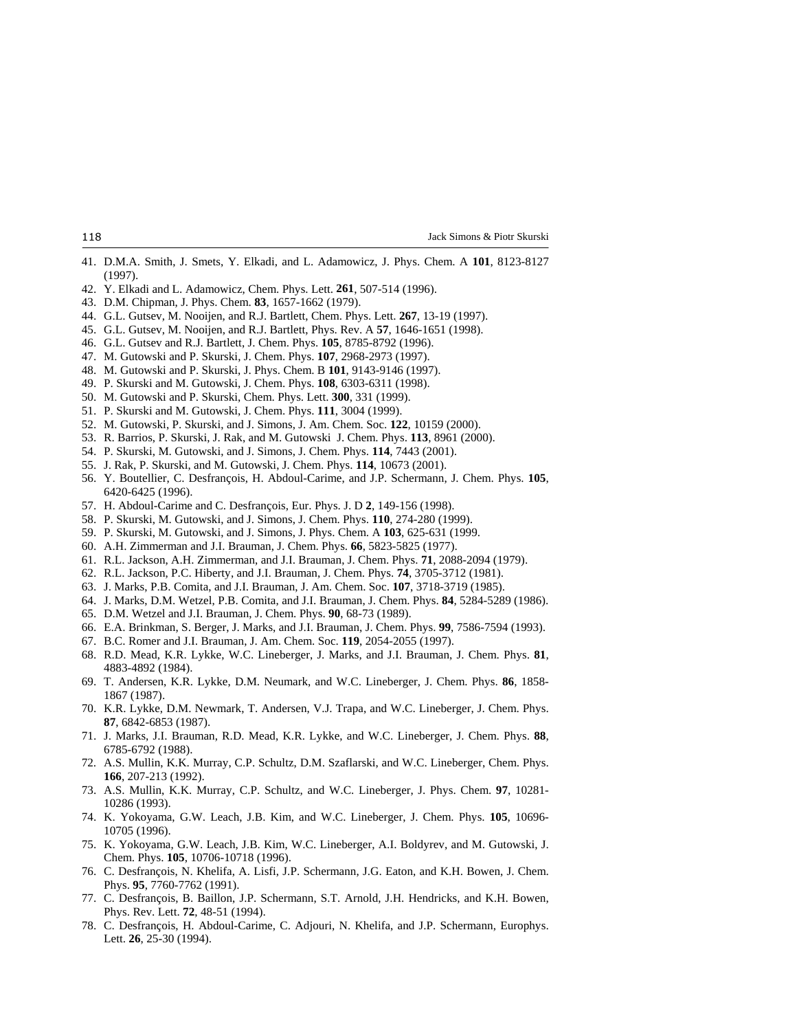- 41. D.M.A. Smith, J. Smets, Y. Elkadi, and L. Adamowicz, J. Phys. Chem. A **101**, 8123-8127 (1997).
- 42. Y. Elkadi and L. Adamowicz, Chem. Phys. Lett. **261**, 507-514 (1996).
- 43. D.M. Chipman, J. Phys. Chem. **83**, 1657-1662 (1979).
- 44. G.L. Gutsev, M. Nooijen, and R.J. Bartlett, Chem. Phys. Lett. **267**, 13-19 (1997).
- 45. G.L. Gutsev, M. Nooijen, and R.J. Bartlett, Phys. Rev. A **57**, 1646-1651 (1998).
- 46. G.L. Gutsev and R.J. Bartlett, J. Chem. Phys. **105**, 8785-8792 (1996).
- 47. M. Gutowski and P. Skurski, J. Chem. Phys. **107**, 2968-2973 (1997).
- 48. M. Gutowski and P. Skurski, J. Phys. Chem. B **101**, 9143-9146 (1997).
- 49. P. Skurski and M. Gutowski, J. Chem. Phys. **108**, 6303-6311 (1998).
- 50. M. Gutowski and P. Skurski, Chem. Phys. Lett. **300**, 331 (1999).
- 51. P. Skurski and M. Gutowski, J. Chem. Phys. **111**, 3004 (1999).
- 52. M. Gutowski, P. Skurski, and J. Simons, J. Am. Chem. Soc. **122**, 10159 (2000).
- 53. R. Barrios, P. Skurski, J. Rak, and M. Gutowski J. Chem. Phys. **113**, 8961 (2000).
- 54. P. Skurski, M. Gutowski, and J. Simons, J. Chem. Phys. **114**, 7443 (2001).
- 55. J. Rak, P. Skurski, and M. Gutowski, J. Chem. Phys. **114**, 10673 (2001).
- 56. Y. Boutellier, C. Desfrançois, H. Abdoul-Carime, and J.P. Schermann, J. Chem. Phys. **105**, 6420-6425 (1996).
- 57. H. Abdoul-Carime and C. Desfrançois, Eur. Phys. J. D **2**, 149-156 (1998).
- 58. P. Skurski, M. Gutowski, and J. Simons, J. Chem. Phys. **110**, 274-280 (1999).
- 59. P. Skurski, M. Gutowski, and J. Simons, J. Phys. Chem. A **103**, 625-631 (1999.
- 60. A.H. Zimmerman and J.I. Brauman, J. Chem. Phys. **66**, 5823-5825 (1977).
- 61. R.L. Jackson, A.H. Zimmerman, and J.I. Brauman, J. Chem. Phys. **71**, 2088-2094 (1979).
- 62. R.L. Jackson, P.C. Hiberty, and J.I. Brauman, J. Chem. Phys. **74**, 3705-3712 (1981).
- 63. J. Marks, P.B. Comita, and J.I. Brauman, J. Am. Chem. Soc. **107**, 3718-3719 (1985).
- 64. J. Marks, D.M. Wetzel, P.B. Comita, and J.I. Brauman, J. Chem. Phys. **84**, 5284-5289 (1986).
- 65. D.M. Wetzel and J.I. Brauman, J. Chem. Phys. **90**, 68-73 (1989).
- 66. E.A. Brinkman, S. Berger, J. Marks, and J.I. Brauman, J. Chem. Phys. **99**, 7586-7594 (1993).
- 67. B.C. Romer and J.I. Brauman, J. Am. Chem. Soc. **119**, 2054-2055 (1997).
- 68. R.D. Mead, K.R. Lykke, W.C. Lineberger, J. Marks, and J.I. Brauman, J. Chem. Phys. **81**, 4883-4892 (1984).
- 69. T. Andersen, K.R. Lykke, D.M. Neumark, and W.C. Lineberger, J. Chem. Phys. **86**, 1858- 1867 (1987).
- 70. K.R. Lykke, D.M. Newmark, T. Andersen, V.J. Trapa, and W.C. Lineberger, J. Chem. Phys. **87**, 6842-6853 (1987).
- 71. J. Marks, J.I. Brauman, R.D. Mead, K.R. Lykke, and W.C. Lineberger, J. Chem. Phys. **88**, 6785-6792 (1988).
- 72. A.S. Mullin, K.K. Murray, C.P. Schultz, D.M. Szaflarski, and W.C. Lineberger, Chem. Phys. **166**, 207-213 (1992).
- 73. A.S. Mullin, K.K. Murray, C.P. Schultz, and W.C. Lineberger, J. Phys. Chem. **97**, 10281- 10286 (1993).
- 74. K. Yokoyama, G.W. Leach, J.B. Kim, and W.C. Lineberger, J. Chem. Phys. **105**, 10696- 10705 (1996).
- 75. K. Yokoyama, G.W. Leach, J.B. Kim, W.C. Lineberger, A.I. Boldyrev, and M. Gutowski, J. Chem. Phys. **105**, 10706-10718 (1996).
- 76. C. Desfrançois, N. Khelifa, A. Lisfi, J.P. Schermann, J.G. Eaton, and K.H. Bowen, J. Chem. Phys. **95**, 7760-7762 (1991).
- 77. C. Desfrançois, B. Baillon, J.P. Schermann, S.T. Arnold, J.H. Hendricks, and K.H. Bowen, Phys. Rev. Lett. **72**, 48-51 (1994).
- 78. C. Desfrançois, H. Abdoul-Carime, C. Adjouri, N. Khelifa, and J.P. Schermann, Europhys. Lett. **26**, 25-30 (1994).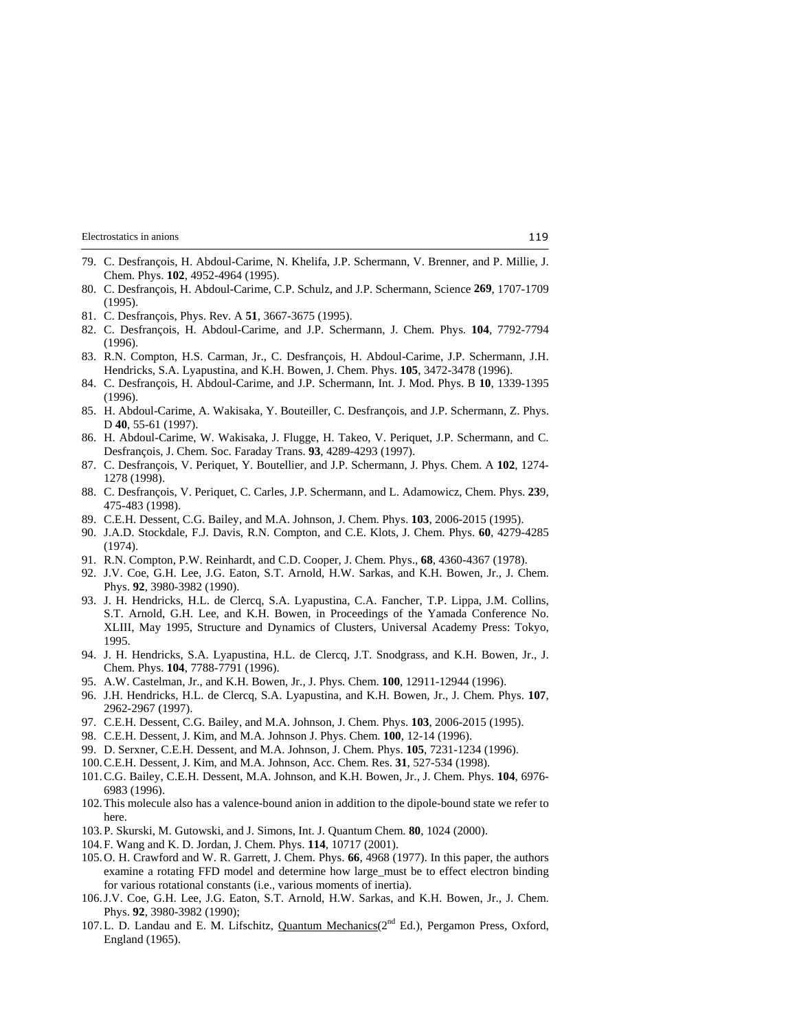- 79. C. Desfrançois, H. Abdoul-Carime, N. Khelifa, J.P. Schermann, V. Brenner, and P. Millie, J. Chem. Phys. **102**, 4952-4964 (1995).
- 80. C. Desfrançois, H. Abdoul-Carime, C.P. Schulz, and J.P. Schermann, Science **269**, 1707-1709 (1995).
- 81. C. Desfrançois, Phys. Rev. A **51**, 3667-3675 (1995).
- 82. C. Desfrançois, H. Abdoul-Carime, and J.P. Schermann, J. Chem. Phys. **104**, 7792-7794 (1996).
- 83. R.N. Compton, H.S. Carman, Jr., C. Desfrançois, H. Abdoul-Carime, J.P. Schermann, J.H. Hendricks, S.A. Lyapustina, and K.H. Bowen, J. Chem. Phys. **105**, 3472-3478 (1996).
- 84. C. Desfrançois, H. Abdoul-Carime, and J.P. Schermann, Int. J. Mod. Phys. B **10**, 1339-1395 (1996).
- 85. H. Abdoul-Carime, A. Wakisaka, Y. Bouteiller, C. Desfrançois, and J.P. Schermann, Z. Phys. D **40**, 55-61 (1997).
- 86. H. Abdoul-Carime, W. Wakisaka, J. Flugge, H. Takeo, V. Periquet, J.P. Schermann, and C. Desfrançois, J. Chem. Soc. Faraday Trans. **93**, 4289-4293 (1997).
- 87. C. Desfrançois, V. Periquet, Y. Boutellier, and J.P. Schermann, J. Phys. Chem. A **102**, 1274- 1278 (1998).
- 88. C. Desfrançois, V. Periquet, C. Carles, J.P. Schermann, and L. Adamowicz, Chem. Phys. **23**9, 475-483 (1998).
- 89. C.E.H. Dessent, C.G. Bailey, and M.A. Johnson, J. Chem. Phys. **103**, 2006-2015 (1995).
- 90. J.A.D. Stockdale, F.J. Davis, R.N. Compton, and C.E. Klots, J. Chem. Phys. **60**, 4279-4285 (1974).
- 91. R.N. Compton, P.W. Reinhardt, and C.D. Cooper, J. Chem. Phys., **68**, 4360-4367 (1978).
- 92. J.V. Coe, G.H. Lee, J.G. Eaton, S.T. Arnold, H.W. Sarkas, and K.H. Bowen, Jr., J. Chem. Phys. **92**, 3980-3982 (1990).
- 93. J. H. Hendricks, H.L. de Clercq, S.A. Lyapustina, C.A. Fancher, T.P. Lippa, J.M. Collins, S.T. Arnold, G.H. Lee, and K.H. Bowen, in Proceedings of the Yamada Conference No. XLIII, May 1995, Structure and Dynamics of Clusters, Universal Academy Press: Tokyo, 1995.
- 94. J. H. Hendricks, S.A. Lyapustina, H.L. de Clercq, J.T. Snodgrass, and K.H. Bowen, Jr., J. Chem. Phys. **104**, 7788-7791 (1996).
- 95. A.W. Castelman, Jr., and K.H. Bowen, Jr., J. Phys. Chem. **100**, 12911-12944 (1996).
- 96. J.H. Hendricks, H.L. de Clercq, S.A. Lyapustina, and K.H. Bowen, Jr., J. Chem. Phys. **107**, 2962-2967 (1997).
- 97. C.E.H. Dessent, C.G. Bailey, and M.A. Johnson, J. Chem. Phys. **103**, 2006-2015 (1995).
- 98. C.E.H. Dessent, J. Kim, and M.A. Johnson J. Phys. Chem. **100**, 12-14 (1996).
- 99. D. Serxner, C.E.H. Dessent, and M.A. Johnson, J. Chem. Phys. **105**, 7231-1234 (1996).
- 100. C.E.H. Dessent, J. Kim, and M.A. Johnson, Acc. Chem. Res. **31**, 527-534 (1998).
- 101. C.G. Bailey, C.E.H. Dessent, M.A. Johnson, and K.H. Bowen, Jr., J. Chem. Phys. **104**, 6976- 6983 (1996).
- 102. This molecule also has a valence-bound anion in addition to the dipole-bound state we refer to here.
- 103. P. Skurski, M. Gutowski, and J. Simons, Int. J. Quantum Chem. **80**, 1024 (2000).
- 104. F. Wang and K. D. Jordan, J. Chem. Phys. **114**, 10717 (2001).
- 105. O. H. Crawford and W. R. Garrett, J. Chem. Phys. **66**, 4968 (1977). In this paper, the authors examine a rotating FFD model and determine how large\_must be to effect electron binding for various rotational constants (i.e., various moments of inertia).
- 106. J.V. Coe, G.H. Lee, J.G. Eaton, S.T. Arnold, H.W. Sarkas, and K.H. Bowen, Jr., J. Chem. Phys. **92**, 3980-3982 (1990);
- 107. L. D. Landau and E. M. Lifschitz, Quantum Mechanics(2<sup>nd</sup> Ed.), Pergamon Press, Oxford, England (1965).